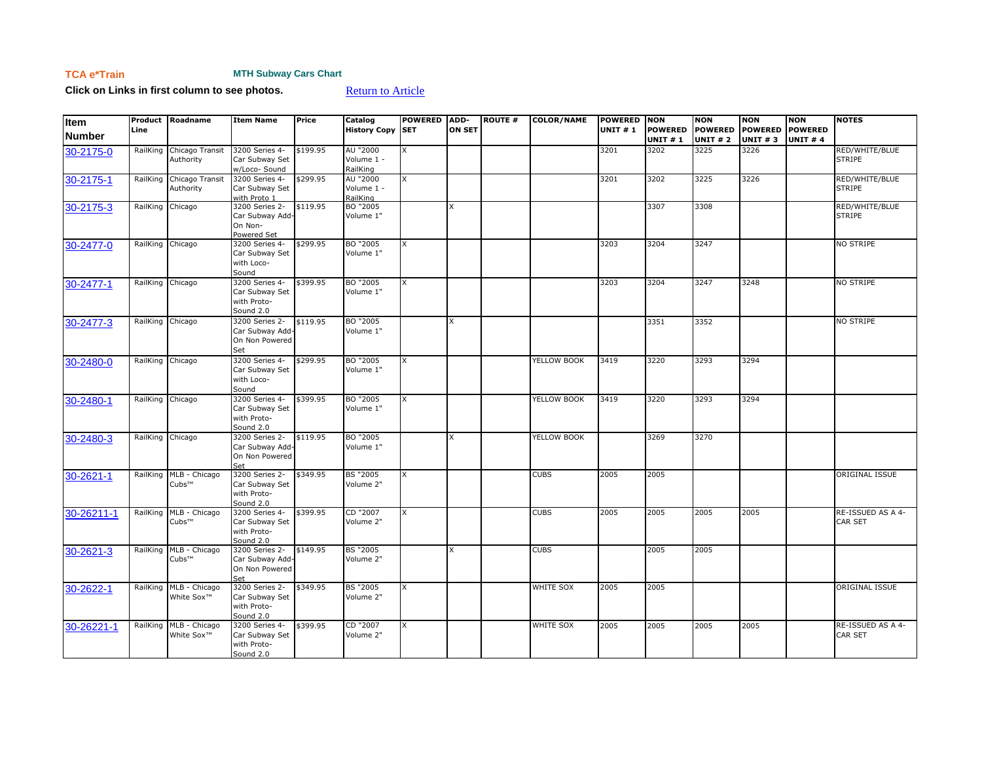## **TCA e\*Train MTH Subway Cars Chart**

**Click on Links in first column to see photos. [Return to Article](https://www.tcatrains.org/etrain/one-el-of-a-great-idear-the-m-t-h-subway-cars-2/)** 

| Item<br><b>Number</b> | Line             | Product Roadname                                 | <b>Item Name</b>                                             | Price    | Catalog<br><b>History Copy SET</b> | <b>POWERED</b> | ADD-<br><b>ON SET</b> | <b>ROUTE #</b> | <b>COLOR/NAME</b> | POWERED NON<br><b>UNIT #1</b> | <b>POWERED</b><br><b>UNIT #1</b> | <b>NON</b><br><b>POWERED</b><br><b>UNIT #2</b> | <b>NON</b><br><b>POWERED</b><br><b>UNIT #3</b> | <b>NON</b><br><b>POWERED</b><br><b>UNIT #4</b> | <b>NOTES</b>                    |
|-----------------------|------------------|--------------------------------------------------|--------------------------------------------------------------|----------|------------------------------------|----------------|-----------------------|----------------|-------------------|-------------------------------|----------------------------------|------------------------------------------------|------------------------------------------------|------------------------------------------------|---------------------------------|
| 30-2175-0             | RailKing         | Chicago Transit<br>Authority                     | 3200 Series 4-<br>Car Subway Set<br>w/Loco- Sound            | \$199.95 | AU "2000<br>Volume 1 -<br>RailKing | X              |                       |                |                   | 3201                          | 3202                             | 3225                                           | 3226                                           |                                                | RED/WHITE/BLUE<br><b>STRIPE</b> |
| 30-2175-1             | RailKing         | Chicago Transit<br>Authority                     | 3200 Series 4-<br>Car Subway Set<br>with Proto 1             | \$299.95 | AU "2000<br>Volume 1 -<br>RailKing | X              |                       |                |                   | 3201                          | 3202                             | 3225                                           | 3226                                           |                                                | RED/WHITE/BLUE<br><b>STRIPE</b> |
| 30-2175-3             | RailKing Chicago |                                                  | 3200 Series 2-<br>Car Subway Add-<br>On Non-<br>Powered Set  | \$119.95 | BO "2005<br>Volume 1"              |                | x                     |                |                   |                               | 3307                             | 3308                                           |                                                |                                                | RED/WHITE/BLUE<br><b>STRIPE</b> |
| 30-2477-0             | RailKing Chicago |                                                  | 3200 Series 4-<br>Car Subway Set<br>with Loco-<br>Sound      | \$299.95 | BO "2005<br>Volume 1"              | X              |                       |                |                   | 3203                          | 3204                             | 3247                                           |                                                |                                                | NO STRIPE                       |
| 30-2477-1             | RailKing Chicago |                                                  | 3200 Series 4-<br>Car Subway Set<br>with Proto-<br>Sound 2.0 | \$399.95 | BO "2005<br>Volume 1"              | X              |                       |                |                   | 3203                          | 3204                             | 3247                                           | 3248                                           |                                                | NO STRIPE                       |
| 30-2477-3             |                  | RailKing Chicago                                 | 3200 Series 2-<br>Car Subway Add-<br>On Non Powered<br>Set   | \$119.95 | BO "2005<br>Volume 1"              |                | X                     |                |                   |                               | 3351                             | 3352                                           |                                                |                                                | NO STRIPE                       |
| 30-2480-0             | RailKing Chicago |                                                  | 3200 Series 4-<br>Car Subway Set<br>with Loco-<br>Sound      | \$299.95 | BO "2005<br>Volume 1"              | X              |                       |                | YELLOW BOOK       | 3419                          | 3220                             | 3293                                           | 3294                                           |                                                |                                 |
| 30-2480-1             | RailKing Chicago |                                                  | 3200 Series 4-<br>Car Subway Set<br>with Proto-<br>Sound 2.0 | \$399.95 | BO "2005<br>Volume 1"              | X              |                       |                | YELLOW BOOK       | 3419                          | 3220                             | 3293                                           | 3294                                           |                                                |                                 |
| 30-2480-3             |                  | RailKing Chicago                                 | 3200 Series 2-<br>Car Subway Add-<br>On Non Powered<br>Set   | \$119.95 | BO "2005<br>Volume 1"              |                | X                     |                | YELLOW BOOK       |                               | 3269                             | 3270                                           |                                                |                                                |                                 |
| 30-2621-1             |                  | RailKing MLB - Chicago<br>Cubs™                  | 3200 Series 2-<br>Car Subway Set<br>with Proto-<br>Sound 2.0 | \$349.95 | <b>BS "2005</b><br>Volume 2"       | X              |                       |                | <b>CUBS</b>       | 2005                          | 2005                             |                                                |                                                |                                                | <b>ORIGINAL ISSUE</b>           |
| 30-26211-1            | RailKing         | MLB - Chicago<br>Cubs™                           | 3200 Series 4-<br>Car Subway Set<br>with Proto-<br>Sound 2.0 | \$399.95 | CD "2007<br>Volume 2"              | X              |                       |                | <b>CUBS</b>       | 2005                          | 2005                             | 2005                                           | 2005                                           |                                                | RE-ISSUED AS A 4-<br>CAR SET    |
| 30-2621-3             |                  | RailKing MLB - Chicago<br>Cubs™                  | 3200 Series 2-<br>Car Subway Add-<br>On Non Powered<br>Set   | \$149.95 | <b>BS "2005</b><br>Volume 2"       |                | X                     |                | <b>CUBS</b>       |                               | 2005                             | 2005                                           |                                                |                                                |                                 |
| 30-2622-1             |                  | RailKing MLB - Chicago<br>White Sox <sup>™</sup> | 3200 Series 2-<br>Car Subway Set<br>with Proto-<br>Sound 2.0 | \$349.95 | <b>BS "2005</b><br>Volume 2"       | X              |                       |                | WHITE SOX         | 2005                          | 2005                             |                                                |                                                |                                                | ORIGINAL ISSUE                  |
| 30-26221-1            | RailKing         | MLB - Chicago<br>White Sox <sup>™</sup>          | 3200 Series 4-<br>Car Subway Set<br>with Proto-<br>Sound 2.0 | \$399.95 | CD "2007<br>Volume 2"              | X              |                       |                | <b>WHITE SOX</b>  | 2005                          | 2005                             | 2005                                           | 2005                                           |                                                | RE-ISSUED AS A 4-<br>CAR SET    |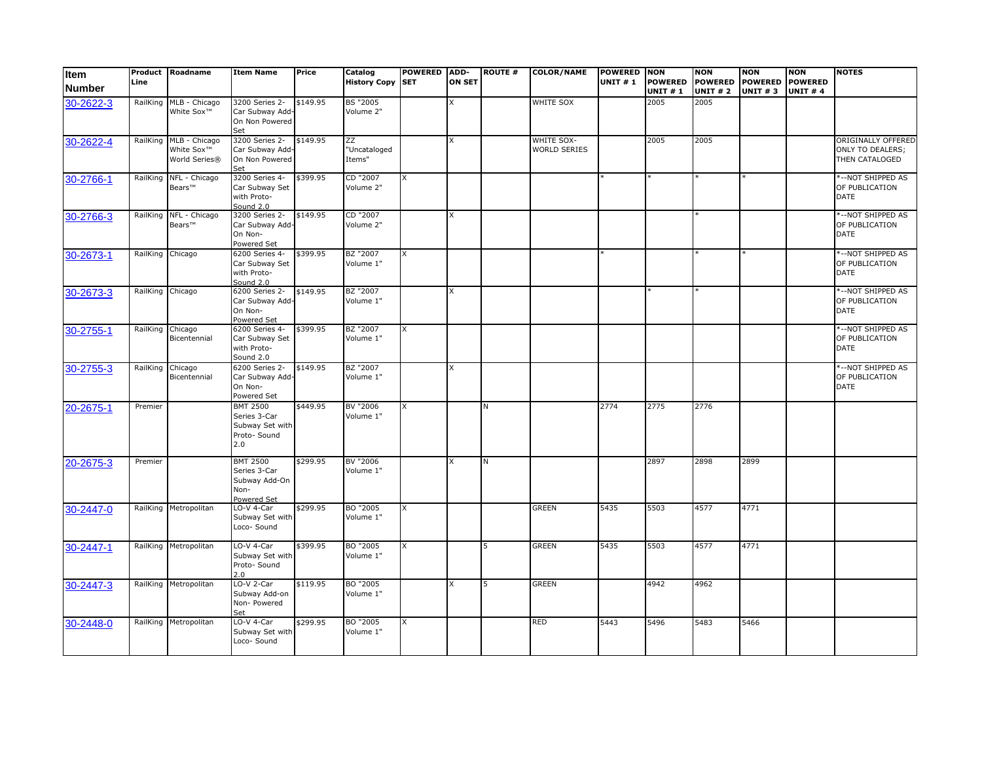| Item<br><b>Number</b> | Line             | Product Roadname                                         | <b>Item Name</b>                                                          | Price    | Catalog<br><b>History Copy SET</b>                   | <b>POWERED</b> | ADD-<br><b>ON SET</b> | <b>ROUTE #</b> | <b>COLOR/NAME</b>                 | POWERED NON<br><b>UNIT #1</b> | <b>POWERED</b><br><b>UNIT #1</b> | <b>NON</b><br><b>POWERED</b><br><b>UNIT #2</b> | <b>NON</b><br><b>POWERED</b><br><b>UNIT #3</b> | <b>NON</b><br><b>POWERED</b><br><b>UNIT #4</b> | <b>NOTES</b>                                                    |
|-----------------------|------------------|----------------------------------------------------------|---------------------------------------------------------------------------|----------|------------------------------------------------------|----------------|-----------------------|----------------|-----------------------------------|-------------------------------|----------------------------------|------------------------------------------------|------------------------------------------------|------------------------------------------------|-----------------------------------------------------------------|
| 30-2622-3             | RailKing         | MLB - Chicago<br>White Sox <sup>™</sup>                  | 3200 Series 2-<br>Car Subway Add-<br>On Non Powered<br>Set                | \$149.95 | <b>BS "2005</b><br>Volume 2"                         |                | X                     |                | WHITE SOX                         |                               | 2005                             | 2005                                           |                                                |                                                |                                                                 |
| 30-2622-4             | RailKing         | MLB - Chicago<br>White Sox <sup>™</sup><br>World Series® | 3200 Series 2-<br>Car Subway Add-<br>On Non Powered<br>Set                | \$149.95 | $\overline{z}\overline{z}$<br>"Uncataloged<br>Items" |                | X                     |                | WHITE SOX-<br><b>WORLD SERIES</b> |                               | 2005                             | 2005                                           |                                                |                                                | ORIGINALLY OFFERED<br><b>ONLY TO DEALERS:</b><br>THEN CATALOGED |
| 30-2766-1             | RailKing         | NFL - Chicago<br>Bears™                                  | 3200 Series 4-<br>Car Subway Set<br>with Proto-<br>Sound 2.0              | \$399.95 | CD "2007<br>Volume 2"                                | X              |                       |                |                                   |                               |                                  |                                                |                                                |                                                | *--NOT SHIPPED AS<br>OF PUBLICATION<br><b>DATE</b>              |
| 30-2766-3             |                  | RailKing NFL - Chicago<br>Bears™                         | 3200 Series 2-<br>Car Subway Add-<br>On Non-<br>Powered Set               | \$149.95 | CD "2007<br>Volume 2"                                |                | X                     |                |                                   |                               |                                  |                                                |                                                |                                                | *--NOT SHIPPED AS<br>OF PUBLICATION<br><b>DATE</b>              |
| 30-2673-1             | RailKing Chicago |                                                          | 6200 Series 4-<br>Car Subway Set<br>with Proto-<br>Sound 2.0              | \$399.95 | BZ "2007<br>Volume 1"                                | X              |                       |                |                                   |                               |                                  |                                                |                                                |                                                | *--NOT SHIPPED AS<br>OF PUBLICATION<br><b>DATE</b>              |
| 30-2673-3             | RailKing         | Chicago                                                  | 6200 Series 2-<br>Car Subway Add-<br>On Non-<br>Powered Set               | \$149.95 | BZ "2007<br>Volume 1"                                |                | X                     |                |                                   |                               |                                  |                                                |                                                |                                                | *--NOT SHIPPED AS<br>OF PUBLICATION<br><b>DATE</b>              |
| 30-2755-1             | RailKing         | Chicago<br>Bicentennial                                  | 6200 Series 4-<br>Car Subway Set<br>with Proto-<br>Sound 2.0              | \$399.95 | BZ "2007<br>Volume 1"                                | X              |                       |                |                                   |                               |                                  |                                                |                                                |                                                | *--NOT SHIPPED AS<br>OF PUBLICATION<br><b>DATE</b>              |
| 30-2755-3             | RailKing         | Chicago<br>Bicentennial                                  | 6200 Series 2-<br>Car Subway Add-<br>On Non-<br>Powered Set               | \$149.95 | BZ "2007<br>Volume 1"                                |                | X                     |                |                                   |                               |                                  |                                                |                                                |                                                | *-- NOT SHIPPED AS<br>OF PUBLICATION<br><b>DATE</b>             |
| 20-2675-1             | Premier          |                                                          | <b>BMT 2500</b><br>Series 3-Car<br>Subway Set with<br>Proto- Sound<br>2.0 | \$449.95 | BV "2006<br>Volume 1"                                | X              |                       | N              |                                   | 2774                          | 2775                             | 2776                                           |                                                |                                                |                                                                 |
| 20-2675-3             | Premier          |                                                          | <b>BMT 2500</b><br>Series 3-Car<br>Subway Add-On<br>Non-<br>Powered Set   | \$299.95 | BV "2006<br>Volume 1"                                |                | <b>x</b>              | N              |                                   |                               | 2897                             | 2898                                           | 2899                                           |                                                |                                                                 |
| 30-2447-0             |                  | RailKing Metropolitan                                    | LO-V 4-Car<br>Subway Set with<br>Loco- Sound                              | \$299.95 | BO "2005<br>Volume 1"                                | X              |                       |                | <b>GREEN</b>                      | 5435                          | 5503                             | 4577                                           | 4771                                           |                                                |                                                                 |
| 30-2447-1             |                  | RailKing Metropolitan                                    | LO-V 4-Car<br>Subway Set with<br>Proto- Sound<br>2.0                      | \$399.95 | BO "2005<br>Volume 1"                                | X              |                       |                | <b>GREEN</b>                      | 5435                          | 5503                             | 4577                                           | 4771                                           |                                                |                                                                 |
| 30-2447-3             |                  | RailKing Metropolitan                                    | LO-V 2-Car<br>Subway Add-on<br>Non- Powered<br>Set                        | \$119.95 | BO "2005<br>Volume 1"                                |                | X                     | 5              | <b>GREEN</b>                      |                               | 4942                             | 4962                                           |                                                |                                                |                                                                 |
| 30-2448-0             |                  | RailKing Metropolitan                                    | LO-V 4-Car<br>Subway Set with<br>Loco- Sound                              | \$299.95 | BO "2005<br>Volume 1"                                | X              |                       |                | <b>RED</b>                        | 5443                          | 5496                             | 5483                                           | 5466                                           |                                                |                                                                 |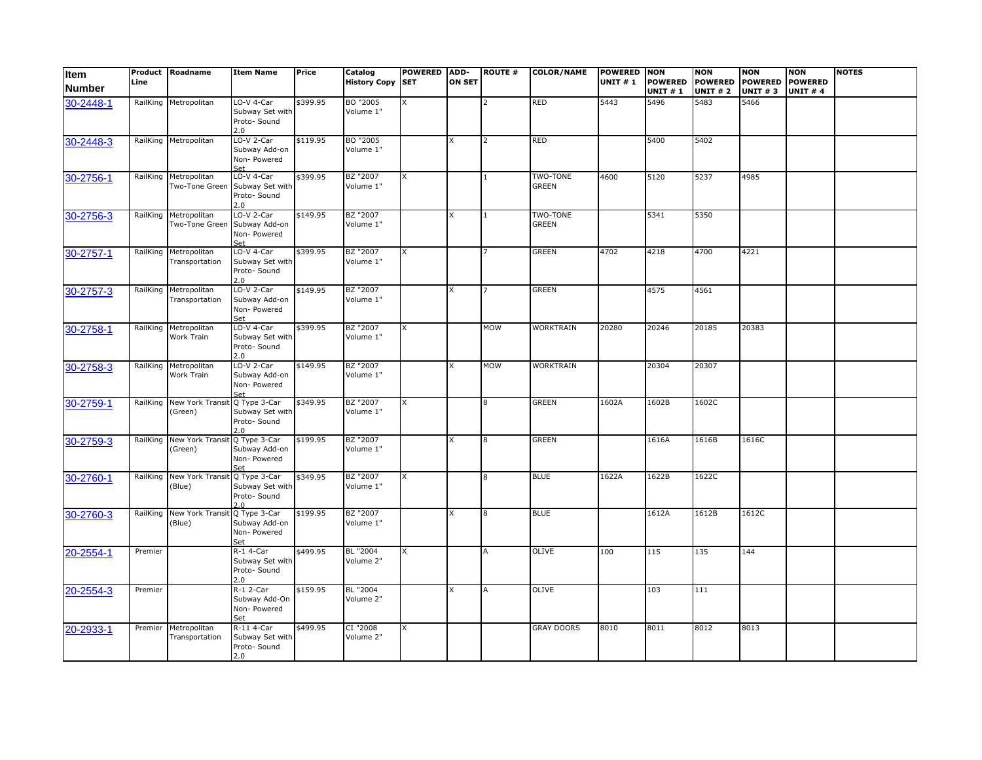| Item<br><b>Number</b> | Product<br>Line | Roadname                                | <b>Item Name</b>                                       | Price    | Catalog<br><b>History Copy</b> | <b>POWERED</b><br><b>SET</b> | ADD-<br><b>ON SET</b> | <b>ROUTE #</b> | <b>COLOR/NAME</b>               | <b>POWERED NON</b><br><b>UNIT #1</b> | <b>POWERED</b><br><b>UNIT#1</b> | <b>NON</b><br><b>POWERED</b><br><b>UNIT #2</b> | <b>NON</b><br><b>POWERED</b><br><b>UNIT #3</b> | <b>NON</b><br><b>POWERED</b><br><b>UNIT #4</b> | <b>NOTES</b> |
|-----------------------|-----------------|-----------------------------------------|--------------------------------------------------------|----------|--------------------------------|------------------------------|-----------------------|----------------|---------------------------------|--------------------------------------|---------------------------------|------------------------------------------------|------------------------------------------------|------------------------------------------------|--------------|
| 30-2448-1             |                 | RailKing Metropolitan                   | LO-V 4-Car<br>Subway Set with<br>Proto- Sound<br>2.0   | \$399.95 | BO "2005<br>Volume 1"          | X                            |                       | $\mathcal{P}$  | RED                             | 5443                                 | 5496                            | 5483                                           | 5466                                           |                                                |              |
| 30-2448-3             |                 | RailKing Metropolitan                   | LO-V 2-Car<br>Subway Add-on<br>Non- Powered<br>Set     | \$119.95 | BO "2005<br>Volume 1"          |                              |                       | $\overline{2}$ | RED                             |                                      | 5400                            | 5402                                           |                                                |                                                |              |
| 30-2756-1             |                 | RailKing Metropolitan<br>Two-Tone Green | LO-V 4-Car<br>Subway Set with<br>Proto- Sound<br>2.0   | \$399.95 | BZ "2007<br>Volume 1"          | X                            |                       | $\mathbf{1}$   | TWO-TONE<br>GREEN               | 4600                                 | 5120                            | 5237                                           | 4985                                           |                                                |              |
| 30-2756-3             | RailKing        | Metropolitan<br>Two-Tone Green          | $LO-V$ 2-Car<br>Subway Add-on<br>Non- Powered<br>Set   | \$149.95 | BZ "2007<br>Volume 1"          |                              |                       | 1              | <b>TWO-TONE</b><br><b>GREEN</b> |                                      | 5341                            | 5350                                           |                                                |                                                |              |
| 30-2757-1             | RailKing        | Metropolitan<br>Transportation          | LO-V 4-Car<br>Subway Set with<br>Proto- Sound<br>2.0   | \$399.95 | BZ "2007<br>Volume 1"          | X                            |                       |                | <b>GREEN</b>                    | 4702                                 | 4218                            | 4700                                           | 4221                                           |                                                |              |
| 30-2757-3             |                 | RailKing Metropolitan<br>Transportation | $LO-V$ 2-Car<br>Subway Add-on<br>Non- Powered<br>Set   | \$149.95 | BZ "2007<br>Volume 1"          |                              | x                     |                | <b>GREEN</b>                    |                                      | 4575                            | 4561                                           |                                                |                                                |              |
| 30-2758-1             |                 | RailKing Metropolitan<br>Work Train     | LO-V 4-Car<br>Subway Set with<br>Proto- Sound<br>2.0   | \$399.95 | BZ "2007<br>Volume 1"          | X                            |                       | <b>MOW</b>     | <b>WORKTRAIN</b>                | 20280                                | 20246                           | 20185                                          | 20383                                          |                                                |              |
| 30-2758-3             | RailKing        | Metropolitan<br>Work Train              | LO-V 2-Car<br>Subway Add-on<br>Non- Powered            | \$149.95 | BZ "2007<br>Volume 1"          |                              |                       | <b>MOW</b>     | <b>WORKTRAIN</b>                |                                      | 20304                           | 20307                                          |                                                |                                                |              |
| 30-2759-1             | RailKing        | New York Trans<br>(Green)               | Q Type 3-Car<br>Subway Set with<br>Proto- Sound<br>2.0 | \$349.95 | BZ "2007<br>Volume 1"          | X                            |                       | 8              | <b>GREEN</b>                    | 1602A                                | 1602B                           | 1602C                                          |                                                |                                                |              |
| 30-2759-3             |                 | RailKing New York Trans<br>(Green)      | Q Type 3-Car<br>Subway Add-on<br>Non- Powered<br>Set   | \$199.95 | BZ "2007<br>Volume 1"          |                              |                       | 8              | <b>GREEN</b>                    |                                      | 1616A                           | 1616B                                          | 1616C                                          |                                                |              |
| 30-2760-1             | RailKing        | New York Trans<br>(Blue)                | Q Type 3-Car<br>Subway Set with<br>Proto- Sound        | \$349.95 | BZ "2007<br>Volume 1"          | x                            |                       | 8              | <b>BLUE</b>                     | 1622A                                | 1622B                           | 1622C                                          |                                                |                                                |              |
| 30-2760-3             | RailKing        | <b>New York Transit</b><br>(Blue)       | Q Type 3-Car<br>Subway Add-on<br>Non- Powered<br>Set   | \$199.95 | BZ "2007<br>Volume 1"          |                              |                       | 8              | <b>BLUE</b>                     |                                      | 1612A                           | 1612B                                          | 1612C                                          |                                                |              |
| 20-2554-1             | Premier         |                                         | $R-1$ 4-Car<br>Subway Set with<br>Proto- Sound<br>2.0  | \$499.95 | BL "2004<br>Volume 2"          | x                            |                       | A              | OLIVE                           | 100                                  | 115                             | 135                                            | 144                                            |                                                |              |
| 20-2554-3             | Premier         |                                         | $R-1$ 2-Car<br>Subway Add-On<br>Non- Powered<br>Set    | \$159.95 | BL "2004<br>Volume 2"          |                              | x                     | A              | OLIVE                           |                                      | 103                             | 111                                            |                                                |                                                |              |
| 20-2933-1             | Premier         | Metropolitan<br>Transportation          | R-11 4-Car<br>Subway Set with<br>Proto- Sound<br>2.0   | \$499.95 | CI "2008<br>Volume 2"          | x                            |                       |                | <b>GRAY DOORS</b>               | 8010                                 | 8011                            | 8012                                           | 8013                                           |                                                |              |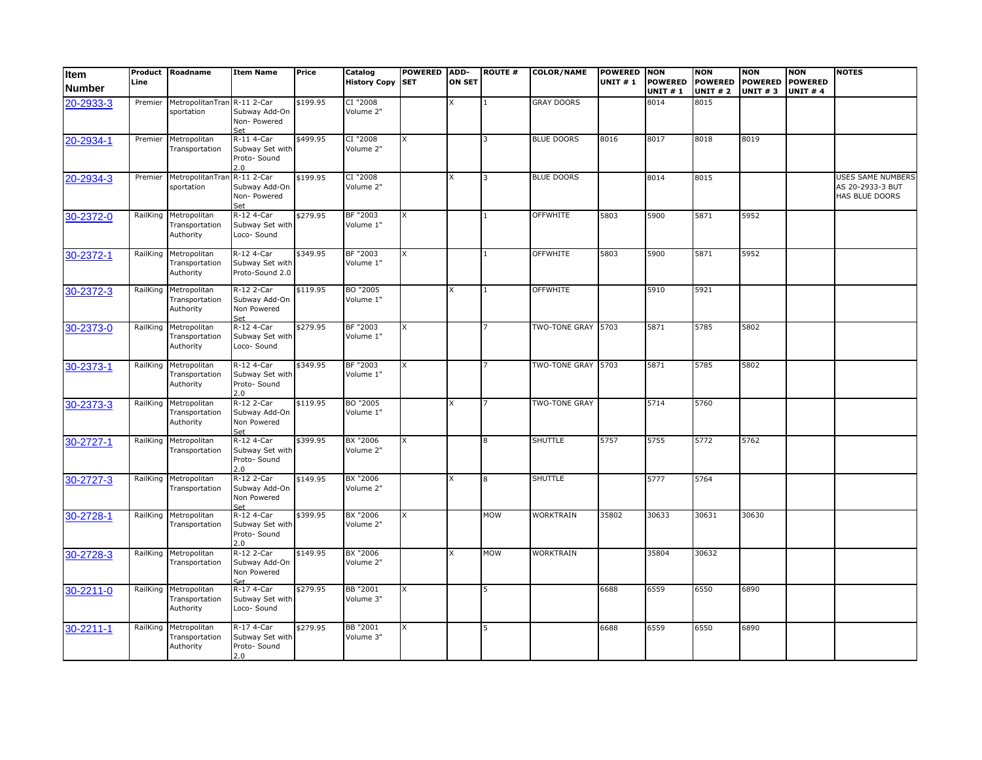| Item<br><b>Number</b> | Product<br>Line | Roadname                                             | <b>Item Name</b>                                     | Price    | Catalog<br><b>History Copy</b> | <b>POWERED</b><br><b>SET</b> | ADD-<br><b>ON SET</b> | <b>ROUTE #</b> | <b>COLOR/NAME</b>  | <b>POWERED NON</b><br><b>UNIT #1</b> | <b>POWERED</b><br><b>UNIT #1</b> | <b>NON</b><br><b>POWERED</b><br><b>UNIT #2</b> | <b>NON</b><br><b>POWERED</b><br><b>UNIT #3</b> | <b>NON</b><br><b>POWERED</b><br><b>UNIT #4</b> | <b>NOTES</b>                                            |
|-----------------------|-----------------|------------------------------------------------------|------------------------------------------------------|----------|--------------------------------|------------------------------|-----------------------|----------------|--------------------|--------------------------------------|----------------------------------|------------------------------------------------|------------------------------------------------|------------------------------------------------|---------------------------------------------------------|
| 20-2933-3             | Premier         | MetropolitanTrar<br>sportation                       | R-11 2-Car<br>Subway Add-On<br>Non-Powered<br>Set    | \$199.95 | CI "2008<br>Volume 2"          |                              |                       |                | <b>GRAY DOORS</b>  |                                      | 8014                             | 8015                                           |                                                |                                                |                                                         |
| 20-2934-1             | Premier         | Metropolitan<br>Transportation                       | R-11 4-Car<br>Subway Set with<br>Proto- Sound<br>2.0 | \$499.95 | CI "2008<br>Volume 2"          | X                            |                       | 3              | <b>BLUE DOORS</b>  | 8016                                 | 8017                             | 8018                                           | 8019                                           |                                                |                                                         |
| 20-2934-3             | Premier         | MetropolitanTra<br>sportation                        | R-11 2-Car<br>Subway Add-On<br>Non-Powered<br>Set    | \$199.95 | CI "2008<br>Volume 2"          |                              |                       | 3              | <b>BLUE DOORS</b>  |                                      | 8014                             | 8015                                           |                                                |                                                | USES SAME NUMBERS<br>AS 20-2933-3 BUT<br>HAS BLUE DOORS |
| 30-2372-0             | RailKing        | Metropolitan<br>Transportation<br>Authority          | R-12 4-Car<br>Subway Set with<br>Loco- Sound         | \$279.95 | BF "2003<br>Volume 1"          | X                            |                       | $\mathbf{1}$   | <b>OFFWHITE</b>    | 5803                                 | 5900                             | 5871                                           | 5952                                           |                                                |                                                         |
| 30-2372-1             | RailKing        | Metropolitan<br>Transportation<br>Authority          | R-12 4-Car<br>Subway Set with<br>Proto-Sound 2.0     | \$349.95 | BF "2003<br>Volume 1"          | X                            |                       |                | <b>OFFWHITE</b>    | 5803                                 | 5900                             | 5871                                           | 5952                                           |                                                |                                                         |
| 30-2372-3             | RailKing        | Metropolitan<br>Transportation<br>Authority          | R-12 2-Car<br>Subway Add-On<br>Non Powered<br>Set    | \$119.95 | BO "2005<br>Volume 1"          |                              |                       | 1              | <b>OFFWHITE</b>    |                                      | 5910                             | 5921                                           |                                                |                                                |                                                         |
| 30-2373-0             | RailKing        | Metropolitan<br>Transportation<br>Authority          | R-12 4-Car<br>Subway Set with<br>Loco- Sound         | \$279.95 | BF "2003<br>Volume 1"          | X                            |                       | $\overline{7}$ | TWO-TONE GRAY 5703 |                                      | 5871                             | 5785                                           | 5802                                           |                                                |                                                         |
| 30-2373-1             | RailKing        | Metropolitan<br>Transportation<br>Authority          | R-12 4-Car<br>Subway Set with<br>Proto- Sound<br>2.0 | \$349.95 | BF "2003<br>Volume 1"          | X                            |                       |                | TWO-TONE GRAY 5703 |                                      | 5871                             | 5785                                           | 5802                                           |                                                |                                                         |
| 30-2373-3             | RailKing        | Metropolitan<br>Transportation<br>Authority          | R-12 2-Car<br>Subway Add-On<br>Non Powered<br>Set    | \$119.95 | BO "2005<br>Volume 1"          |                              | x                     | 7              | TWO-TONE GRAY      |                                      | 5714                             | 5760                                           |                                                |                                                |                                                         |
| 30-2727-1             | RailKing        | Metropolitan<br>Transportation                       | R-12 4-Car<br>Subway Set with<br>Proto- Sound<br>2.0 | \$399.95 | BX "2006<br>Volume 2"          | x                            |                       | 8              | <b>SHUTTLE</b>     | 5757                                 | 5755                             | 5772                                           | 5762                                           |                                                |                                                         |
| 30-2727-3             |                 | RailKing Metropolitan<br>Transportation              | R-12 2-Car<br>Subway Add-On<br>Non Powered<br>Set    | \$149.95 | BX "2006<br>Volume 2"          |                              |                       | 8              | <b>SHUTTLE</b>     |                                      | 5777                             | 5764                                           |                                                |                                                |                                                         |
| 30-2728-1             | RailKing        | Metropolitan<br>Transportation                       | R-12 4-Car<br>Subway Set with<br>Proto-Sound<br>2.0  | \$399.95 | BX "2006<br>Volume 2"          | X                            |                       | <b>MOW</b>     | WORKTRAIN          | 35802                                | 30633                            | 30631                                          | 30630                                          |                                                |                                                         |
| 30-2728-3             | RailKing        | Metropolitan<br>Transportation                       | R-12 2-Car<br>Subway Add-On<br>Non Powered           | \$149.95 | BX "2006<br>Volume 2"          |                              | x                     | <b>MOW</b>     | WORKTRAIN          |                                      | 35804                            | 30632                                          |                                                |                                                |                                                         |
| 30-2211-0             |                 | RailKing Metropolitan<br>Transportation<br>Authority | R-17 4-Car<br>Subway Set with<br>Loco- Sound         | \$279.95 | BB "2001<br>Volume 3"          | X                            |                       | 5              |                    | 6688                                 | 6559                             | 6550                                           | 6890                                           |                                                |                                                         |
| 30-2211-1             | RailKing        | Metropolitan<br>Transportation<br>Authority          | R-17 4-Car<br>Subway Set with<br>Proto- Sound<br>2.0 | \$279.95 | BB "2001<br>Volume 3"          | x                            |                       | 5              |                    | 6688                                 | 6559                             | 6550                                           | 6890                                           |                                                |                                                         |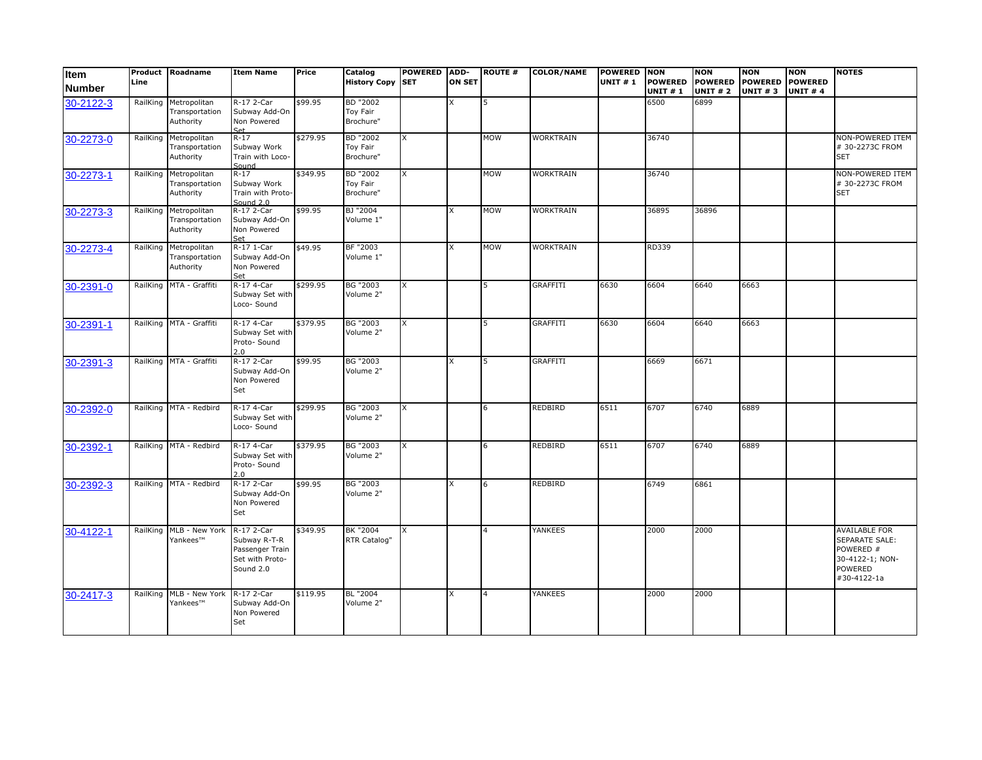| Item<br><b>Number</b> | Line     | Product Roadname                                     | <b>Item Name</b>                                                              | Price    | Catalog<br><b>History Copy SET</b>       | POWERED ADD- | <b>ON SET</b> | <b>ROUTE #</b> | <b>COLOR/NAME</b> | <b>POWERED NON</b><br><b>UNIT #1</b> | <b>POWERED</b><br><b>UNIT #1</b> | <b>NON</b><br><b>POWERED</b><br><b>UNIT # 2</b> | <b>NON</b><br><b>POWERED</b><br><b>UNIT #3</b> | <b>NON</b><br><b>POWERED</b><br><b>UNIT #4</b> | <b>NOTES</b>                                                                                     |
|-----------------------|----------|------------------------------------------------------|-------------------------------------------------------------------------------|----------|------------------------------------------|--------------|---------------|----------------|-------------------|--------------------------------------|----------------------------------|-------------------------------------------------|------------------------------------------------|------------------------------------------------|--------------------------------------------------------------------------------------------------|
| 30-2122-3             | RailKing | Metropolitan<br>Transportation<br>Authority          | R-17 2-Car<br>Subway Add-On<br>Non Powered                                    | \$99.95  | <b>BD</b> "2002<br>Toy Fair<br>Brochure" |              |               |                |                   |                                      | 6500                             | 6899                                            |                                                |                                                |                                                                                                  |
| 30-2273-0             | RailKing | Metropolitan<br>Transportation<br>Authority          | $R-17$<br>Subway Work<br>Train with Loco-<br>Sound                            | \$279.95 | BD "2002<br>Toy Fair<br>Brochure"        | X            |               | <b>MOW</b>     | <b>WORKTRAIN</b>  |                                      | 36740                            |                                                 |                                                |                                                | NON-POWERED ITEM<br># 30-2273C FROM<br><b>SET</b>                                                |
| 30-2273-1             | RailKing | Metropolitan<br>Transportation<br>Authority          | $R - 17$<br>Subway Work<br>Train with Proto-<br>Sound $2.0$                   | \$349.95 | BD "2002<br>Toy Fair<br>Brochure"        | X            |               | <b>MOW</b>     | <b>WORKTRAIN</b>  |                                      | 36740                            |                                                 |                                                |                                                | NON-POWERED ITEM<br># 30-2273C FROM<br><b>SET</b>                                                |
| 30-2273-3             |          | RailKing Metropolitan<br>Transportation<br>Authority | R-17 2-Car<br>Subway Add-On<br>Non Powered<br>Set                             | \$99.95  | BJ "2004<br>Volume 1"                    |              | x             | <b>MOW</b>     | <b>WORKTRAIN</b>  |                                      | 36895                            | 36896                                           |                                                |                                                |                                                                                                  |
| 30-2273-4             | RailKing | Metropolitan<br>Transportation<br>Authority          | R-17 1-Car<br>Subway Add-On<br>Non Powered<br>Set                             | \$49.95  | BF "2003<br>Volume 1"                    |              | x             | <b>MOW</b>     | <b>WORKTRAIN</b>  |                                      | RD339                            |                                                 |                                                |                                                |                                                                                                  |
| 30-2391-0             |          | RailKing MTA - Graffiti                              | R-17 4-Car<br>Subway Set with<br>Loco- Sound                                  | \$299.95 | BG "2003<br>Volume 2"                    | X            |               |                | <b>GRAFFITI</b>   | 6630                                 | 6604                             | 6640                                            | 6663                                           |                                                |                                                                                                  |
| 30-2391-1             |          | RailKing MTA - Graffiti                              | R-17 4-Car<br>Subway Set with<br>Proto- Sound<br>2.0                          | \$379.95 | <b>BG "2003</b><br>Volume 2"             | X            |               |                | <b>GRAFFITI</b>   | 6630                                 | 6604                             | 6640                                            | 6663                                           |                                                |                                                                                                  |
| 30-2391-3             | RailKing | MTA - Graffiti                                       | R-17 2-Car<br>Subway Add-On<br>Non Powered<br>Set                             | \$99.95  | <b>BG "2003</b><br>Volume 2"             |              | x             | 5              | <b>GRAFFITI</b>   |                                      | 6669                             | 6671                                            |                                                |                                                |                                                                                                  |
| 30-2392-0             |          | RailKing MTA - Redbird                               | R-17 4-Car<br>Subway Set with<br>Loco- Sound                                  | \$299.95 | <b>BG "2003</b><br>Volume 2"             | X            |               | 6              | <b>REDBIRD</b>    | 6511                                 | 6707                             | 6740                                            | 6889                                           |                                                |                                                                                                  |
| 30-2392-1             |          | RailKing MTA - Redbird                               | R-17 4-Car<br>Subway Set with<br>Proto- Sound<br>2.0                          | \$379.95 | <b>BG "2003</b><br>Volume 2"             | X            |               | 6              | <b>REDBIRD</b>    | 6511                                 | 6707                             | 6740                                            | 6889                                           |                                                |                                                                                                  |
| 30-2392-3             |          | RailKing MTA - Redbird                               | R-17 2-Car<br>Subway Add-On<br>Non Powered<br>Set                             | \$99.95  | <b>BG "2003</b><br>Volume 2"             |              | x             |                | <b>REDBIRD</b>    |                                      | 6749                             | 6861                                            |                                                |                                                |                                                                                                  |
| 30-4122-1             | RailKing | MLB - New York<br>Yankees™                           | R-17 2-Car<br>Subway R-T-R<br>Passenger Train<br>Set with Proto-<br>Sound 2.0 | \$349.95 | BK "2004<br>RTR Catalog"                 | X.           |               |                | YANKEES           |                                      | 2000                             | 2000                                            |                                                |                                                | <b>AVAILABLE FOR</b><br>SEPARATE SALE:<br>POWERED #<br>30-4122-1; NON-<br>POWERED<br>#30-4122-1a |
| 30-2417-3             | RailKing | MLB - New York<br>Yankees™                           | R-17 2-Car<br>Subway Add-On<br>Non Powered<br>Set                             | \$119.95 | BL "2004<br>Volume 2"                    |              | x             |                | <b>YANKEES</b>    |                                      | 2000                             | 2000                                            |                                                |                                                |                                                                                                  |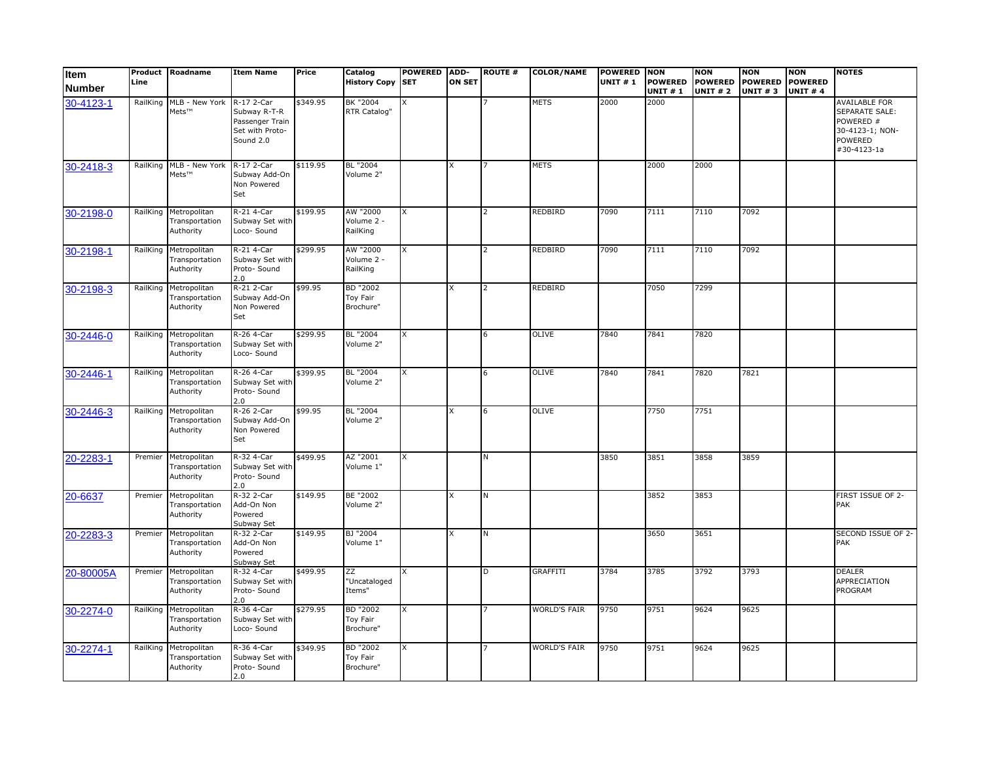| Item          | Product<br>Line | Roadname                                    | <b>Item Name</b>                                                              | Price    | Catalog<br>History Copy SET              | <b>POWERED</b> | ADD-<br><b>ON SET</b> | <b>ROUTE #</b> | <b>COLOR/NAME</b>   | <b>POWERED NON</b><br><b>UNIT #1</b> | <b>POWERED</b> | <b>NON</b><br><b>POWERED</b> | <b>NON</b><br><b>POWERED</b> | <b>NON</b><br><b>POWERED</b> | <b>NOTES</b>                                                                                     |
|---------------|-----------------|---------------------------------------------|-------------------------------------------------------------------------------|----------|------------------------------------------|----------------|-----------------------|----------------|---------------------|--------------------------------------|----------------|------------------------------|------------------------------|------------------------------|--------------------------------------------------------------------------------------------------|
| <b>Number</b> |                 |                                             |                                                                               |          |                                          |                |                       |                |                     |                                      | <b>UNIT #1</b> | <b>UNIT # 2</b>              | <b>UNIT #3</b>               | <b>UNIT #4</b>               |                                                                                                  |
| 30-4123-1     | RailKing        | MLB - New York<br>Mets™                     | R-17 2-Car<br>Subway R-T-R<br>Passenger Train<br>Set with Proto-<br>Sound 2.0 | \$349.95 | BK "2004<br>RTR Catalog"                 | X              |                       |                | <b>METS</b>         | 2000                                 | 2000           |                              |                              |                              | AVAILABLE FOR<br><b>SEPARATE SALE:</b><br>POWERED #<br>30-4123-1; NON-<br>POWERED<br>#30-4123-1a |
| 30-2418-3     |                 | RailKing MLB - New York<br>Mets™            | R-17 2-Car<br>Subway Add-On<br>Non Powered<br>Set                             | \$119.95 | BL "2004<br>Volume 2"                    |                |                       |                | <b>METS</b>         |                                      | 2000           | 2000                         |                              |                              |                                                                                                  |
| 30-2198-0     | RailKing        | Metropolitan<br>Transportation<br>Authority | R-21 4-Car<br>Subway Set with<br>Loco- Sound                                  | \$199.95 | AW "2000<br>Volume 2 -<br>RailKing       | X              |                       |                | <b>REDBIRD</b>      | 7090                                 | 7111           | 7110                         | 7092                         |                              |                                                                                                  |
| 30-2198-1     | RailKing        | Metropolitan<br>Transportation<br>Authority | R-21 4-Car<br>Subway Set with<br>Proto- Sound<br>2.0                          | \$299.95 | AW "2000<br>Volume 2 -<br>RailKing       | X              |                       |                | <b>REDBIRD</b>      | 7090                                 | 7111           | 7110                         | 7092                         |                              |                                                                                                  |
| 30-2198-3     | RailKing        | Metropolitan<br>Transportation<br>Authority | R-21 2-Car<br>Subway Add-On<br>Non Powered<br>Set                             | \$99.95  | <b>BD "2002</b><br>Toy Fair<br>Brochure" |                | X                     | $\overline{2}$ | <b>REDBIRD</b>      |                                      | 7050           | 7299                         |                              |                              |                                                                                                  |
| 30-2446-0     | RailKing        | Metropolitan<br>Transportation<br>Authority | R-26 4-Car<br>Subway Set with<br>Loco- Sound                                  | \$299.95 | BL "2004<br>Volume 2"                    | X              |                       |                | <b>OLIVE</b>        | 7840                                 | 7841           | 7820                         |                              |                              |                                                                                                  |
| 30-2446-1     | RailKing        | Metropolitan<br>Transportation<br>Authority | R-26 4-Car<br>Subway Set with<br>Proto- Sound<br>2.0                          | \$399.95 | BL "2004<br>Volume 2"                    | X              |                       |                | <b>OLIVE</b>        | 7840                                 | 7841           | 7820                         | 7821                         |                              |                                                                                                  |
| 30-2446-3     | RailKing        | Metropolitan<br>Transportation<br>Authority | R-26 2-Car<br>Subway Add-On<br>Non Powered<br>Set                             | \$99.95  | BL "2004<br>Volume 2"                    |                | x                     | 6              | OLIVE               |                                      | 7750           | 7751                         |                              |                              |                                                                                                  |
| 20-2283-1     | Premier         | Metropolitan<br>Transportation<br>Authority | R-32 4-Car<br>Subway Set with<br>Proto- Sound<br>2.0                          | \$499.95 | AZ "2001<br>Volume 1"                    | X              |                       | N              |                     | 3850                                 | 3851           | 3858                         | 3859                         |                              |                                                                                                  |
| 20-6637       | Premier         | Metropolitan<br>Transportation<br>Authority | R-32 2-Car<br>Add-On Non<br>Powered<br>Subway Set                             | \$149.95 | BE "2002<br>Volume 2"                    |                | x                     | N              |                     |                                      | 3852           | 3853                         |                              |                              | FIRST ISSUE OF 2-<br>PAK                                                                         |
| 20-2283-3     | Premier         | Metropolitan<br>Transportation<br>Authority | R-32 2-Car<br>Add-On Non<br>Powered<br>Subway Set                             | \$149.95 | BJ "2004<br>Volume 1"                    |                |                       |                |                     |                                      | 3650           | 3651                         |                              |                              | SECOND ISSUE OF 2-<br>PAK                                                                        |
| 20-80005A     | Premier         | Metropolitan<br>Transportation<br>Authority | R-32 4-Car<br>Subway Set with<br>Proto- Sound<br>2.0                          | \$499.95 | ΖZ<br>"Uncataloged<br>Items"             | X              |                       | D              | <b>GRAFFITI</b>     | 3784                                 | 3785           | 3792                         | 3793                         |                              | <b>DEALER</b><br>APPRECIATION<br>PROGRAM                                                         |
| 30-2274-0     | RailKing        | Metropolitan<br>Transportation<br>Authority | R-36 4-Car<br>Subway Set with<br>Loco- Sound                                  | \$279.95 | BD "2002<br>Toy Fair<br>Brochure"        | X              |                       |                | <b>WORLD'S FAIR</b> | 9750                                 | 9751           | 9624                         | 9625                         |                              |                                                                                                  |
| 30-2274-1     | RailKing        | Metropolitan<br>Transportation<br>Authority | R-36 4-Car<br>Subway Set with<br>Proto- Sound<br>2.0                          | \$349.95 | BD "2002<br>Toy Fair<br>Brochure"        | X              |                       |                | <b>WORLD'S FAIR</b> | 9750                                 | 9751           | 9624                         | 9625                         |                              |                                                                                                  |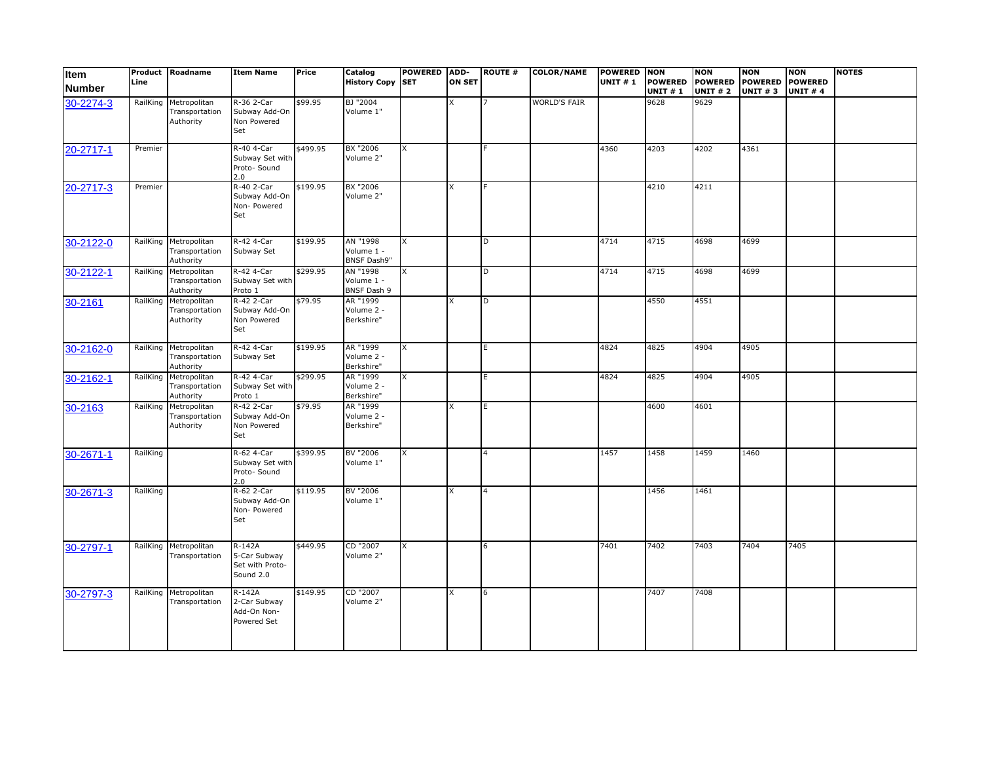| <b>Item</b><br><b>Number</b> | Product<br>Line | Roadname                                             | <b>Item Name</b>                                         | Price    | Catalog<br><b>History Copy</b>               | <b>POWERED</b><br><b>SET</b> | ADD-<br><b>ON SET</b> | <b>ROUTE #</b>          | <b>COLOR/NAME</b>   | POWERED NON<br><b>UNIT #1</b> | <b>POWERED</b><br><b>UNIT #1</b> | <b>NON</b><br><b>POWERED</b><br><b>UNIT #2</b> | <b>NON</b><br><b>POWERED</b><br><b>UNIT #3</b> | <b>NON</b><br><b>POWERED</b><br><b>UNIT #4</b> | <b>NOTES</b> |
|------------------------------|-----------------|------------------------------------------------------|----------------------------------------------------------|----------|----------------------------------------------|------------------------------|-----------------------|-------------------------|---------------------|-------------------------------|----------------------------------|------------------------------------------------|------------------------------------------------|------------------------------------------------|--------------|
| 30-2274-3                    | RailKing        | Metropolitan<br>Transportation<br>Authority          | R-36 2-Car<br>Subway Add-On<br>Non Powered<br>Set        | \$99.95  | BJ "2004<br>Volume 1"                        |                              |                       |                         | <b>WORLD'S FAIR</b> |                               | 9628                             | 9629                                           |                                                |                                                |              |
| 20-2717-1                    | Premier         |                                                      | R-40 4-Car<br>Subway Set with<br>Proto-Sound<br>2.0      | \$499.95 | BX "2006<br>Volume 2"                        | X                            |                       |                         |                     | 4360                          | 4203                             | 4202                                           | 4361                                           |                                                |              |
| 20-2717-3                    | Premier         |                                                      | R-40 2-Car<br>Subway Add-On<br>Non- Powered<br>Set       | \$199.95 | BX "2006<br>Volume 2"                        |                              | X                     |                         |                     |                               | 4210                             | 4211                                           |                                                |                                                |              |
| 30-2122-0                    |                 | RailKing Metropolitan<br>Transportation<br>Authority | R-42 4-Car<br>Subway Set                                 | \$199.95 | AN "1998<br>Volume 1 -<br><b>BNSF Dash9"</b> | X                            |                       | D                       |                     | 4714                          | 4715                             | 4698                                           | 4699                                           |                                                |              |
| 30-2122-1                    | RailKing        | Metropolitan<br>Transportation<br>Authority          | R-42 4-Car<br>Subway Set with<br>Proto 1                 | \$299.95 | AN "1998<br>Volume 1 -<br><b>BNSF Dash 9</b> | X                            |                       | D                       |                     | 4714                          | 4715                             | 4698                                           | 4699                                           |                                                |              |
| 30-2161                      | RailKing        | Metropolitan<br>Transportation<br>Authority          | R-42 2-Car<br>Subway Add-On<br>Non Powered<br>Set        | \$79.95  | AR "1999<br>Volume 2 -<br>Berkshire"         |                              |                       | D                       |                     |                               | 4550                             | 4551                                           |                                                |                                                |              |
| 30-2162-0                    |                 | RailKing Metropolitan<br>Transportation<br>Authority | R-42 4-Car<br>Subway Set                                 | \$199.95 | AR "1999<br>Volume 2 -<br>Berkshire"         | X                            |                       | E.                      |                     | 4824                          | 4825                             | 4904                                           | 4905                                           |                                                |              |
| 30-2162-1                    |                 | RailKing Metropolitan<br>Transportation<br>Authority | R-42 4-Car<br>Subway Set with<br>Proto 1                 | \$299.95 | AR "1999<br>Volume 2 -<br>Berkshire"         | $\overline{X}$               |                       | E.                      |                     | 4824                          | 4825                             | 4904                                           | 4905                                           |                                                |              |
| 30-2163                      | RailKing        | Metropolitan<br>Transportation<br>Authority          | R-42 2-Car<br>Subway Add-On<br>Non Powered<br>Set        | \$79.95  | AR "1999<br>Volume 2 -<br>Berkshire"         |                              |                       | E.                      |                     |                               | 4600                             | 4601                                           |                                                |                                                |              |
| 30-2671-1                    | RailKing        |                                                      | R-62 4-Car<br>Subway Set with<br>Proto- Sound<br>2.0     | \$399.95 | BV "2006<br>Volume 1"                        | x                            |                       | 4                       |                     | 1457                          | 1458                             | 1459                                           | 1460                                           |                                                |              |
| 30-2671-3                    | RailKing        |                                                      | R-62 2-Car<br>Subway Add-On<br>Non- Powered<br>Set       | \$119.95 | BV "2006<br>Volume 1"                        |                              | x                     | $\overline{\mathbf{4}}$ |                     |                               | 1456                             | 1461                                           |                                                |                                                |              |
| 30-2797-1                    |                 | RailKing Metropolitan<br>Transportation              | $R-142A$<br>5-Car Subway<br>Set with Proto-<br>Sound 2.0 | \$449.95 | CD "2007<br>Volume 2"                        | X                            |                       | 6                       |                     | 7401                          | 7402                             | 7403                                           | 7404                                           | 7405                                           |              |
| 30-2797-3                    |                 | RailKing Metropolitan<br>Transportation              | R-142A<br>2-Car Subway<br>Add-On Non-<br>Powered Set     | \$149.95 | CD "2007<br>Volume 2"                        |                              | x                     | 6                       |                     |                               | 7407                             | 7408                                           |                                                |                                                |              |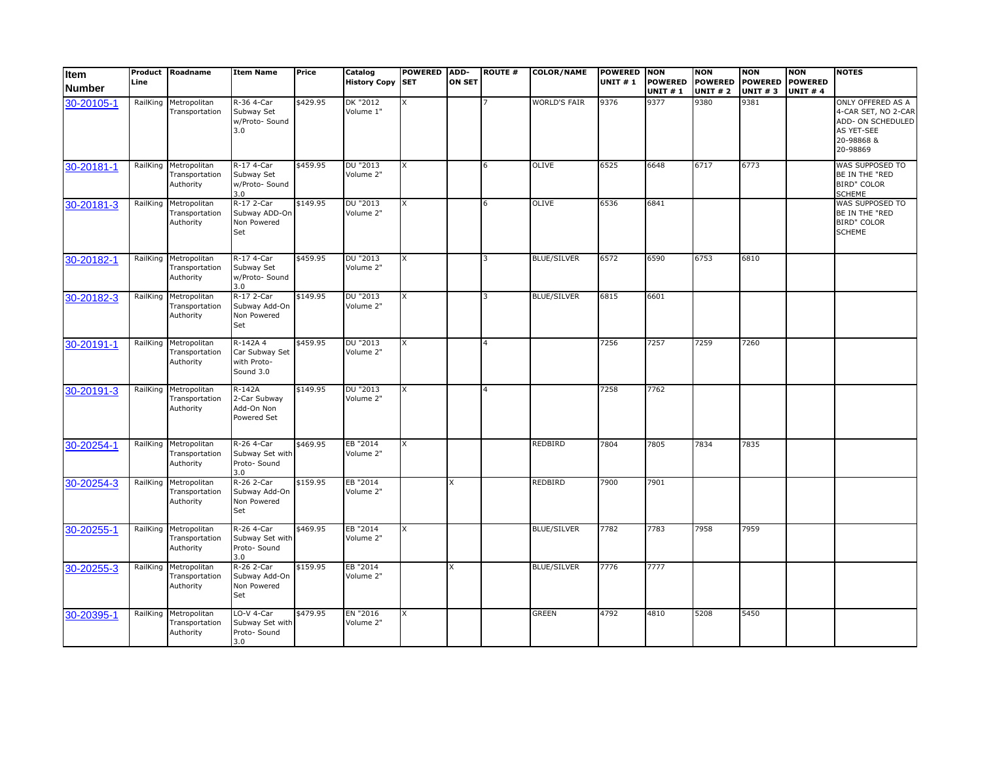| Item<br><b>Number</b> | Product<br>Line | Roadname                                             | <b>Item Name</b>                                       | Price    | Catalog<br><b>History Copy SET</b> | <b>POWERED</b> | ADD-<br><b>ON SET</b> | <b>ROUTE #</b> | <b>COLOR/NAME</b>   | <b>POWERED NON</b><br><b>UNIT #1</b> | <b>POWERED</b><br><b>UNIT #1</b> | <b>NON</b><br><b>POWERED</b><br><b>UNIT # 2</b> | <b>NON</b><br><b>UNIT #3</b> | <b>NON</b><br>POWERED POWERED<br><b>UNIT #4</b> | <b>NOTES</b>                                                                                          |
|-----------------------|-----------------|------------------------------------------------------|--------------------------------------------------------|----------|------------------------------------|----------------|-----------------------|----------------|---------------------|--------------------------------------|----------------------------------|-------------------------------------------------|------------------------------|-------------------------------------------------|-------------------------------------------------------------------------------------------------------|
| 30-20105-1            | RailKing        | Metropolitan<br>Transportation                       | R-36 4-Car<br>Subway Set<br>w/Proto- Sound<br>3.0      | \$429.95 | DK "2012<br>Volume 1"              | X              |                       |                | <b>WORLD'S FAIR</b> | 9376                                 | 9377                             | 9380                                            | 9381                         |                                                 | ONLY OFFERED AS A<br>4-CAR SET, NO 2-CAR<br>ADD- ON SCHEDULED<br>AS YET-SEE<br>20-98868 &<br>20-98869 |
| 30-20181-1            |                 | RailKing Metropolitan<br>Transportation<br>Authority | R-17 4-Car<br>Subway Set<br>w/Proto- Sound<br>3.0      | \$459.95 | DU "2013<br>Volume 2"              | X              |                       | 6              | OLIVE               | 6525                                 | 6648                             | 6717                                            | 6773                         |                                                 | WAS SUPPOSED TO<br>BE IN THE "RED<br><b>BIRD" COLOR</b><br><b>SCHEME</b>                              |
| 30-20181-3            | RailKing        | Metropolitan<br>Transportation<br>Authority          | R-17 2-Car<br>Subway ADD-On<br>Non Powered<br>Set      | \$149.95 | DU "2013<br>Volume 2"              | X              |                       |                | <b>OLIVE</b>        | 6536                                 | 6841                             |                                                 |                              |                                                 | WAS SUPPOSED TO<br>BE IN THE "RED<br><b>BIRD" COLOR</b><br><b>SCHEME</b>                              |
| 30-20182-1            |                 | RailKing Metropolitan<br>Transportation<br>Authority | R-17 4-Car<br>Subway Set<br>w/Proto- Sound<br>3.0      | \$459.95 | DU "2013<br>Volume 2"              | X              |                       |                | <b>BLUE/SILVER</b>  | 6572                                 | 6590                             | 6753                                            | 6810                         |                                                 |                                                                                                       |
| 30-20182-3            | RailKing        | Metropolitan<br>Transportation<br>Authority          | R-17 2-Car<br>Subway Add-On<br>Non Powered<br>Set      | \$149.95 | DU "2013<br>Volume 2"              | x              |                       |                | <b>BLUE/SILVER</b>  | 6815                                 | 6601                             |                                                 |                              |                                                 |                                                                                                       |
| 30-20191-1            | RailKing        | Metropolitan<br>Transportation<br>Authority          | R-142A 4<br>Car Subway Set<br>with Proto-<br>Sound 3.0 | \$459.95 | DU "2013<br>Volume 2"              | X              |                       |                |                     | 7256                                 | 7257                             | 7259                                            | 7260                         |                                                 |                                                                                                       |
| 30-20191-3            | RailKing        | Metropolitan<br>Transportation<br>Authority          | $R-142A$<br>2-Car Subway<br>Add-On Non<br>Powered Set  | \$149.95 | DU "2013<br>Volume 2"              | X              |                       |                |                     | 7258                                 | 7762                             |                                                 |                              |                                                 |                                                                                                       |
| 30-20254-1            | RailKing        | Metropolitan<br>Transportation<br>Authority          | R-26 4-Car<br>Subway Set with<br>Proto- Sound<br>3.0   | \$469.95 | EB "2014<br>Volume 2"              | X              |                       |                | <b>REDBIRD</b>      | 7804                                 | 7805                             | 7834                                            | 7835                         |                                                 |                                                                                                       |
| 30-20254-3            | RailKing        | Metropolitan<br>Transportation<br>Authority          | R-26 2-Car<br>Subway Add-On<br>Non Powered<br>Set      | \$159.95 | EB "2014<br>Volume 2"              |                | X                     |                | <b>REDBIRD</b>      | 7900                                 | 7901                             |                                                 |                              |                                                 |                                                                                                       |
| 30-20255-1            |                 | RailKing Metropolitan<br>Transportation<br>Authority | R-26 4-Car<br>Subway Set with<br>Proto- Sound<br>3.0   | \$469.95 | EB "2014<br>Volume 2"              | X              |                       |                | <b>BLUE/SILVER</b>  | 7782                                 | 7783                             | 7958                                            | 7959                         |                                                 |                                                                                                       |
| 30-20255-3            | RailKing        | Metropolitan<br>Transportation<br>Authority          | R-26 2-Car<br>Subway Add-On<br>Non Powered<br>Set      | \$159.95 | EB "2014<br>Volume 2"              |                | x                     |                | <b>BLUE/SILVER</b>  | 7776                                 | 7777                             |                                                 |                              |                                                 |                                                                                                       |
| 30-20395-1            | RailKing        | Metropolitan<br>Transportation<br>Authority          | LO-V 4-Car<br>Subway Set with<br>Proto- Sound<br>3.0   | \$479.95 | EN "2016<br>Volume 2"              | X              |                       |                | <b>GREEN</b>        | 4792                                 | 4810                             | 5208                                            | 5450                         |                                                 |                                                                                                       |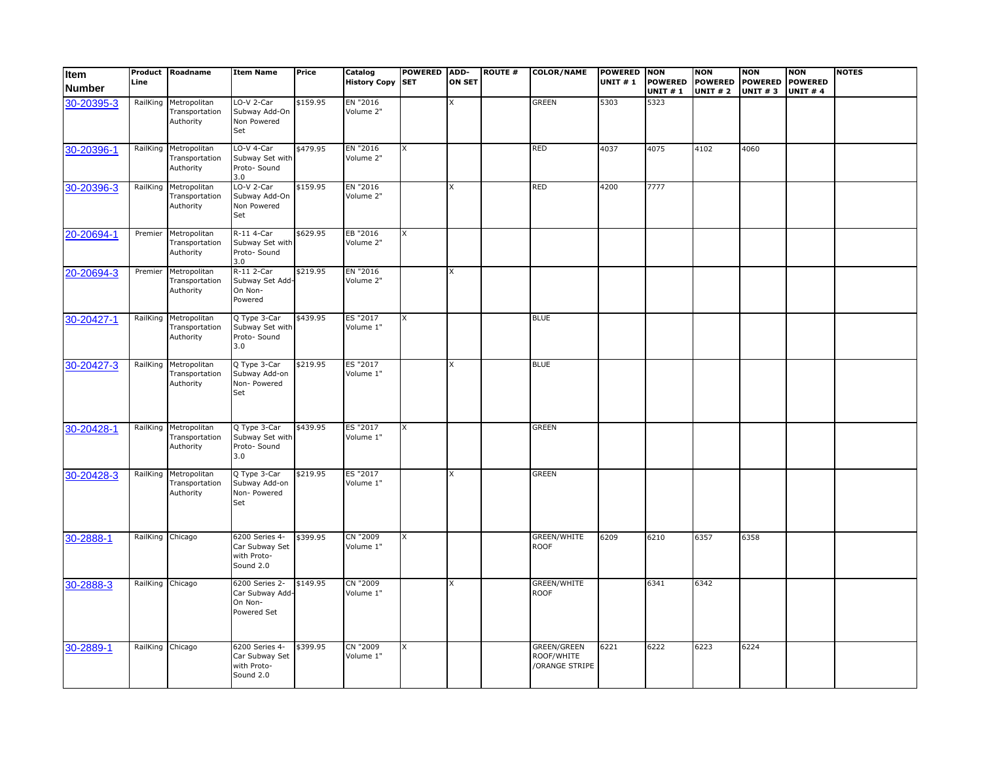| Item<br><b>Number</b> | Line             | Product Roadname                                     | <b>Item Name</b>                                             | Price    | <b>Catalog</b><br><b>History Copy SET</b> | <b>POWERED</b> | ADD-<br><b>ON SET</b> | <b>ROUTE #</b> | <b>COLOR/NAME</b>                                  | <b>POWERED</b><br><b>UNIT #1</b> | <b>NON</b><br><b>POWERED</b><br>UNIT # 1 | <b>NON</b><br><b>POWERED</b><br><b>UNIT # 2</b> | <b>NON</b><br><b>POWERED</b><br><b>UNIT #3</b> | <b>NON</b><br><b>POWERED</b><br><b>UNIT #4</b> | <b>NOTES</b> |
|-----------------------|------------------|------------------------------------------------------|--------------------------------------------------------------|----------|-------------------------------------------|----------------|-----------------------|----------------|----------------------------------------------------|----------------------------------|------------------------------------------|-------------------------------------------------|------------------------------------------------|------------------------------------------------|--------------|
| 30-20395-3            |                  | RailKing Metropolitan<br>Transportation<br>Authority | LO-V 2-Car<br>Subway Add-On<br>Non Powered<br>Set            | \$159.95 | EN "2016<br>Volume 2"                     |                | x                     |                | <b>GREEN</b>                                       | 5303                             | 5323                                     |                                                 |                                                |                                                |              |
| 30-20396-1            |                  | RailKing Metropolitan<br>Transportation<br>Authority | LO-V 4-Car<br>Subway Set with<br>Proto- Sound<br>3.0         | \$479.95 | EN "2016<br>Volume 2"                     | X              |                       |                | <b>RED</b>                                         | 4037                             | 4075                                     | 4102                                            | 4060                                           |                                                |              |
| 30-20396-3            | RailKing         | Metropolitan<br>Transportation<br>Authority          | LO-V 2-Car<br>Subway Add-On<br>Non Powered<br>Set            | \$159.95 | EN "2016<br>Volume 2"                     |                | X                     |                | <b>RED</b>                                         | 4200                             | 7777                                     |                                                 |                                                |                                                |              |
| 20-20694-1            |                  | Premier Metropolitan<br>Transportation<br>Authority  | R-11 4-Car<br>Subway Set with<br>Proto- Sound<br>3.0         | \$629.95 | EB "2016<br>Volume 2"                     | X              |                       |                |                                                    |                                  |                                          |                                                 |                                                |                                                |              |
| 20-20694-3            | Premier          | Metropolitan<br>Transportation<br>Authority          | R-11 2-Car<br>Subway Set Add-<br>On Non-<br>Powered          | \$219.95 | EN "2016<br>Volume 2"                     |                | X                     |                |                                                    |                                  |                                          |                                                 |                                                |                                                |              |
| 30-20427-1            |                  | RailKing Metropolitan<br>Transportation<br>Authority | Q Type 3-Car<br>Subway Set with<br>Proto- Sound<br>3.0       | \$439.95 | ES "2017<br>Volume 1"                     | X              |                       |                | <b>BLUE</b>                                        |                                  |                                          |                                                 |                                                |                                                |              |
| 30-20427-3            | RailKing         | Metropolitan<br>Transportation<br>Authority          | Q Type 3-Car<br>Subway Add-on<br>Non- Powered<br>Set         | \$219.95 | ES "2017<br>Volume 1"                     |                | X                     |                | <b>BLUE</b>                                        |                                  |                                          |                                                 |                                                |                                                |              |
| 30-20428-1            |                  | RailKing Metropolitan<br>Transportation<br>Authority | Q Type 3-Car<br>Subway Set with<br>Proto- Sound<br>3.0       | \$439.95 | ES "2017<br>Volume 1"                     | X              |                       |                | <b>GREEN</b>                                       |                                  |                                          |                                                 |                                                |                                                |              |
| 30-20428-3            |                  | RailKing Metropolitan<br>Transportation<br>Authority | Q Type 3-Car<br>Subway Add-on<br>Non- Powered<br>Set         | \$219.95 | ES "2017<br>Volume 1"                     |                | X                     |                | <b>GREEN</b>                                       |                                  |                                          |                                                 |                                                |                                                |              |
| 30-2888-1             | RailKing Chicago |                                                      | 6200 Series 4-<br>Car Subway Set<br>with Proto-<br>Sound 2.0 | \$399.95 | CN "2009<br>Volume 1"                     | X              |                       |                | <b>GREEN/WHITE</b><br><b>ROOF</b>                  | 6209                             | 6210                                     | 6357                                            | 6358                                           |                                                |              |
| 30-2888-3             | RailKing Chicago |                                                      | 6200 Series 2-<br>Car Subway Add-<br>On Non-<br>Powered Set  | \$149.95 | CN "2009<br>Volume 1"                     |                | X                     |                | <b>GREEN/WHITE</b><br><b>ROOF</b>                  |                                  | 6341                                     | 6342                                            |                                                |                                                |              |
| 30-2889-1             | RailKing Chicago |                                                      | 6200 Series 4-<br>Car Subway Set<br>with Proto-<br>Sound 2.0 | \$399.95 | CN "2009<br>Volume 1"                     | X              |                       |                | <b>GREEN/GREEN</b><br>ROOF/WHITE<br>/ORANGE STRIPE | 6221                             | 6222                                     | 6223                                            | 6224                                           |                                                |              |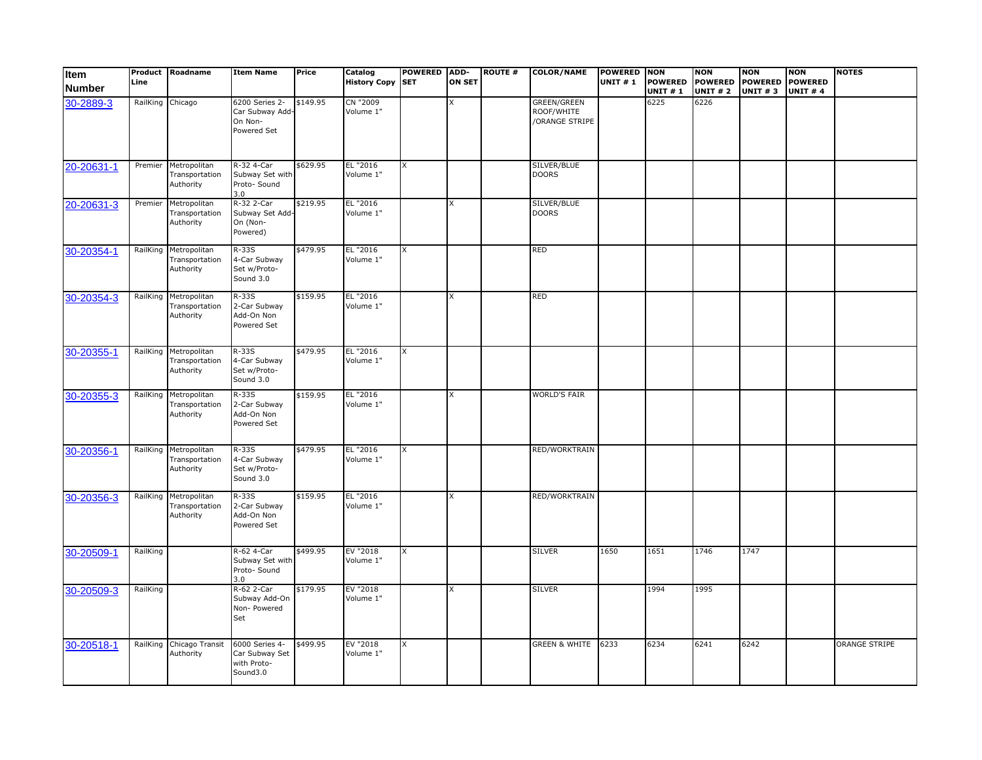| Item<br><b>Number</b> | Line     | <b>Product Roadname</b>                              | <b>Item Name</b>                                            | Price    | Catalog<br><b>History Copy SET</b> | <b>POWERED</b> | ADD-<br><b>ON SET</b> | <b>ROUTE #</b> | <b>COLOR/NAME</b>                                  | POWERED NON<br><b>UNIT #1</b> | <b>POWERED</b><br><b>UNIT #1</b> | <b>NON</b><br><b>POWERED</b><br><b>UNIT # 2</b> | <b>NON</b><br><b>POWERED</b><br><b>UNIT #3</b> | <b>NON</b><br><b>POWERED</b><br><b>UNIT #4</b> | <b>NOTES</b>         |
|-----------------------|----------|------------------------------------------------------|-------------------------------------------------------------|----------|------------------------------------|----------------|-----------------------|----------------|----------------------------------------------------|-------------------------------|----------------------------------|-------------------------------------------------|------------------------------------------------|------------------------------------------------|----------------------|
| 30-2889-3             | RailKing | Chicago                                              | 6200 Series 2-<br>Car Subway Add-<br>On Non-<br>Powered Set | \$149.95 | CN "2009<br>Volume 1"              |                | x                     |                | <b>GREEN/GREEN</b><br>ROOF/WHITE<br>/ORANGE STRIPE |                               | 6225                             | 6226                                            |                                                |                                                |                      |
| 20-20631-1            | Premier  | Metropolitan<br>Transportation<br>Authority          | R-32 4-Car<br>Subway Set with<br>Proto- Sound<br>3.0        | \$629.95 | EL "2016<br>Volume 1"              | X              |                       |                | SILVER/BLUE<br><b>DOORS</b>                        |                               |                                  |                                                 |                                                |                                                |                      |
| 20-20631-3            | Premier  | Metropolitan<br>Transportation<br>Authority          | R-32 2-Car<br>Subway Set Add-<br>On (Non-<br>Powered)       | \$219.95 | EL "2016<br>Volume 1"              |                | X                     |                | SILVER/BLUE<br><b>DOORS</b>                        |                               |                                  |                                                 |                                                |                                                |                      |
| 30-20354-1            |          | RailKing Metropolitan<br>Transportation<br>Authority | $R-33S$<br>4-Car Subway<br>Set w/Proto-<br>Sound 3.0        | \$479.95 | EL "2016<br>Volume 1"              | X              |                       |                | RED                                                |                               |                                  |                                                 |                                                |                                                |                      |
| 30-20354-3            | RailKing | Metropolitan<br>Transportation<br>Authority          | $R-33S$<br>2-Car Subway<br>Add-On Non<br>Powered Set        | \$159.95 | EL "2016<br>Volume 1"              |                | x                     |                | <b>RED</b>                                         |                               |                                  |                                                 |                                                |                                                |                      |
| 30-20355-1            | RailKing | Metropolitan<br>Transportation<br>Authority          | R-33S<br>4-Car Subway<br>Set w/Proto-<br>Sound 3.0          | \$479.95 | EL "2016<br>Volume 1"              | X              |                       |                |                                                    |                               |                                  |                                                 |                                                |                                                |                      |
| 30-20355-3            | RailKing | Metropolitan<br>Transportation<br>Authority          | $R-33S$<br>2-Car Subway<br>Add-On Non<br>Powered Set        | \$159.95 | EL "2016<br>Volume 1"              |                | X                     |                | <b>WORLD'S FAIR</b>                                |                               |                                  |                                                 |                                                |                                                |                      |
| 30-20356-1            |          | RailKing Metropolitan<br>Transportation<br>Authority | $R-33S$<br>4-Car Subway<br>Set w/Proto-<br>Sound 3.0        | \$479.95 | EL "2016<br>Volume 1"              | X              |                       |                | RED/WORKTRAIN                                      |                               |                                  |                                                 |                                                |                                                |                      |
| 30-20356-3            |          | RailKing Metropolitan<br>Transportation<br>Authority | $R-335$<br>2-Car Subway<br>Add-On Non<br>Powered Set        | \$159.95 | EL "2016<br>Volume 1"              |                | X                     |                | RED/WORKTRAIN                                      |                               |                                  |                                                 |                                                |                                                |                      |
| 30-20509-1            | RailKing |                                                      | R-62 4-Car<br>Subway Set with<br>Proto- Sound<br>3.0        | \$499.95 | EV "2018<br>Volume 1"              | X              |                       |                | <b>SILVER</b>                                      | 1650                          | 1651                             | 1746                                            | 1747                                           |                                                |                      |
| 30-20509-3            | RailKing |                                                      | R-62 2-Car<br>Subway Add-On<br>Non- Powered<br>Set          | \$179.95 | EV "2018<br>Volume 1"              |                | X                     |                | <b>SILVER</b>                                      |                               | 1994                             | 1995                                            |                                                |                                                |                      |
| 30-20518-1            |          | RailKing Chicago Transit<br>Authority                | 6000 Series 4-<br>Car Subway Set<br>with Proto-<br>Sound3.0 | \$499.95 | EV "2018<br>Volume 1"              | X              |                       |                | <b>GREEN &amp; WHITE</b>                           | 6233                          | 6234                             | 6241                                            | 6242                                           |                                                | <b>ORANGE STRIPE</b> |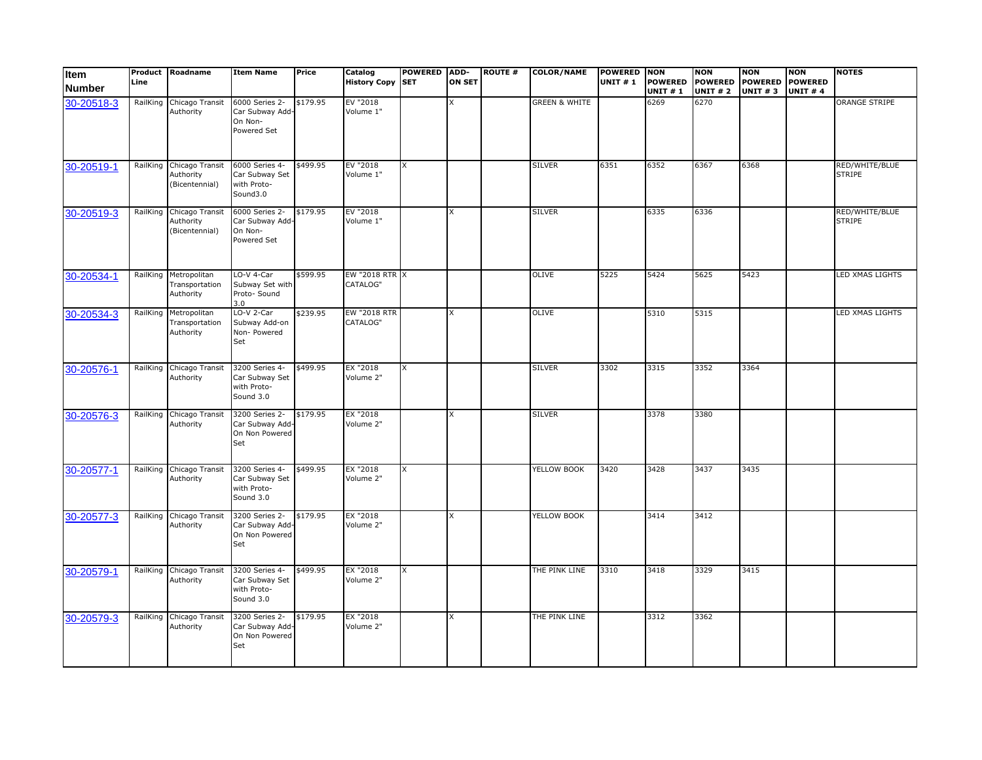| Item<br><b>Number</b> | Line     | <b>Product Roadname</b>                                 | <b>Item Name</b>                                             | Price    | Catalog<br>History Copy SET | POWERED ADD- | <b>ON SET</b> | <b>ROUTE #</b> | <b>COLOR/NAME</b>        | <b>POWERED NON</b><br><b>UNIT #1</b> | <b>POWERED</b><br><b>UNIT #1</b> | <b>NON</b><br><b>POWERED</b><br><b>UNIT #2</b> | <b>NON</b><br>POWERED POWERED<br><b>UNIT #3</b> | <b>NON</b><br><b>UNIT #4</b> | <b>NOTES</b>                    |
|-----------------------|----------|---------------------------------------------------------|--------------------------------------------------------------|----------|-----------------------------|--------------|---------------|----------------|--------------------------|--------------------------------------|----------------------------------|------------------------------------------------|-------------------------------------------------|------------------------------|---------------------------------|
| 30-20518-3            | RailKing | Chicago Transit<br>Authority                            | 6000 Series 2-<br>Car Subway Add-<br>On Non-<br>Powered Set  | \$179.95 | EV "2018<br>Volume 1"       |              | x             |                | <b>GREEN &amp; WHITE</b> |                                      | 6269                             | 6270                                           |                                                 |                              | <b>ORANGE STRIPE</b>            |
| 30-20519-1            |          | RailKing Chicago Transit<br>Authority<br>(Bicentennial) | 6000 Series 4-<br>Car Subway Set<br>with Proto-<br>Sound3.0  | \$499.95 | EV "2018<br>Volume 1"       | X            |               |                | <b>SILVER</b>            | 6351                                 | 6352                             | 6367                                           | 6368                                            |                              | RED/WHITE/BLUE<br><b>STRIPE</b> |
| 30-20519-3            |          | RailKing Chicago Transit<br>Authority<br>(Bicentennial) | 6000 Series 2-<br>Car Subway Add-<br>On Non-<br>Powered Set  | \$179.95 | EV "2018<br>Volume 1"       |              | X             |                | <b>SILVER</b>            |                                      | 6335                             | 6336                                           |                                                 |                              | RED/WHITE/BLUE<br><b>STRIPE</b> |
| 30-20534-1            |          | RailKing Metropolitan<br>Transportation<br>Authority    | LO-V 4-Car<br>Subway Set with<br>Proto- Sound<br>3.0         | \$599.95 | EW "2018 RTR X<br>CATALOG"  |              |               |                | <b>OLIVE</b>             | 5225                                 | 5424                             | 5625                                           | 5423                                            |                              | LED XMAS LIGHTS                 |
| 30-20534-3            | RailKing | Metropolitan<br>Transportation<br>Authority             | LO-V 2-Car<br>Subway Add-on<br>Non- Powered<br>Set           | \$239.95 | EW "2018 RTR<br>CATALOG"    |              | X             |                | OLIVE                    |                                      | 5310                             | 5315                                           |                                                 |                              | LED XMAS LIGHTS                 |
| 30-20576-1            | RailKing | Chicago Transit<br>Authority                            | 3200 Series 4-<br>Car Subway Set<br>with Proto-<br>Sound 3.0 | \$499.95 | EX "2018<br>Volume 2"       | X            |               |                | <b>SILVER</b>            | 3302                                 | 3315                             | 3352                                           | 3364                                            |                              |                                 |
| 30-20576-3            | RailKing | Chicago Transit<br>Authority                            | 3200 Series 2-<br>Car Subway Add-<br>On Non Powered<br>Set   | \$179.95 | EX "2018<br>Volume 2"       |              | X             |                | <b>SILVER</b>            |                                      | 3378                             | 3380                                           |                                                 |                              |                                 |
| 30-20577-1            | RailKing | Chicago Transit<br>Authority                            | 3200 Series 4-<br>Car Subway Set<br>with Proto-<br>Sound 3.0 | \$499.95 | EX "2018<br>Volume 2"       | X            |               |                | YELLOW BOOK              | 3420                                 | 3428                             | 3437                                           | 3435                                            |                              |                                 |
| 30-20577-3            | RailKing | Chicago Transit<br>Authority                            | 3200 Series 2-<br>Car Subway Add<br>On Non Powered<br>Set    | \$179.95 | EX "2018<br>Volume 2"       |              | X             |                | YELLOW BOOK              |                                      | 3414                             | 3412                                           |                                                 |                              |                                 |
| 30-20579-1            |          | RailKing Chicago Transit<br>Authority                   | 3200 Series 4-<br>Car Subway Set<br>with Proto-<br>Sound 3.0 | \$499.95 | EX "2018<br>Volume 2"       | X            |               |                | THE PINK LINE            | 3310                                 | 3418                             | 3329                                           | 3415                                            |                              |                                 |
| 30-20579-3            | RailKing | Chicago Transit<br>Authority                            | 3200 Series 2-<br>Car Subway Add<br>On Non Powered<br>Set    | \$179.95 | EX "2018<br>Volume 2"       |              | X             |                | THE PINK LINE            |                                      | 3312                             | 3362                                           |                                                 |                              |                                 |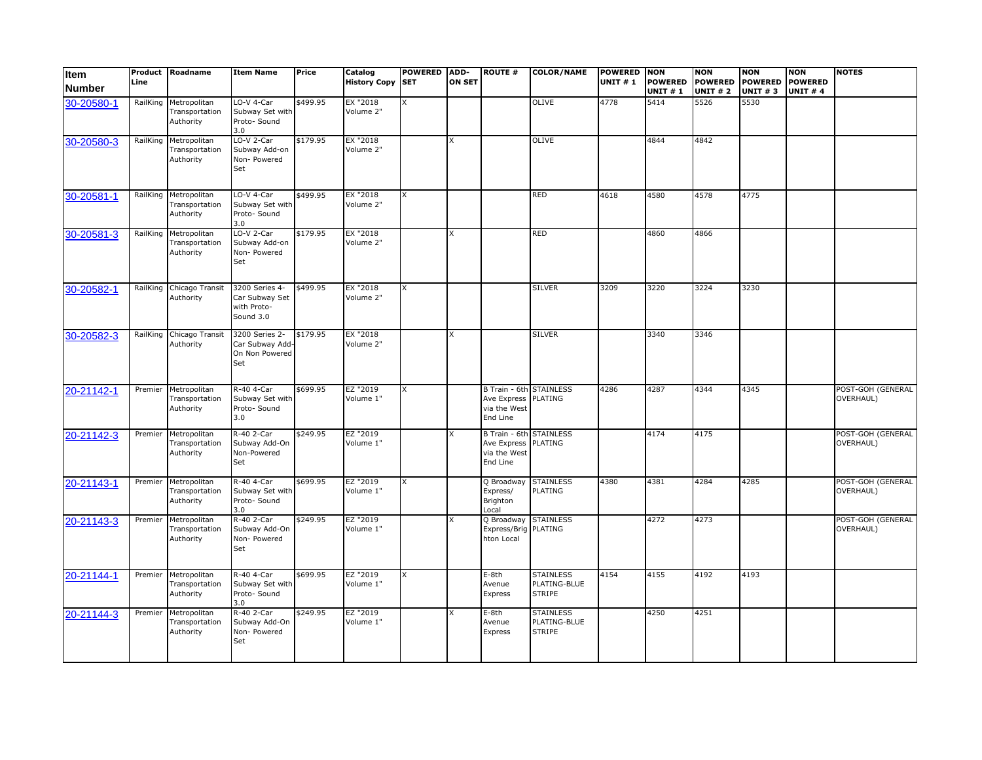| Item<br><b>Number</b> | Line     | Product Roadname                            | <b>Item Name</b>                                             | Price    | Catalog<br><b>History Copy SET</b> | <b>POWERED</b> | ADD-<br><b>ON SET</b> | <b>ROUTE #</b>                                                                    | <b>COLOR/NAME</b>                                 | <b>POWERED</b><br><b>UNIT #1</b> | <b>NON</b><br><b>POWERED</b><br><b>UNIT#1</b> | <b>NON</b><br><b>POWERED</b><br><b>UNIT #2</b> | <b>NON</b><br><b>POWERED</b><br>UNIT $# 3$ | <b>NON</b><br><b>POWERED</b><br><b>UNIT #4</b> | <b>NOTES</b>                          |
|-----------------------|----------|---------------------------------------------|--------------------------------------------------------------|----------|------------------------------------|----------------|-----------------------|-----------------------------------------------------------------------------------|---------------------------------------------------|----------------------------------|-----------------------------------------------|------------------------------------------------|--------------------------------------------|------------------------------------------------|---------------------------------------|
| 30-20580-1            | RailKing | Metropolitan<br>Transportation<br>Authority | LO-V 4-Car<br>Subway Set with<br>Proto- Sound<br>3.0         | \$499.95 | EX "2018<br>Volume 2"              | X              |                       |                                                                                   | OLIVE                                             | 4778                             | 5414                                          | 5526                                           | 5530                                       |                                                |                                       |
| 30-20580-3            | RailKing | Metropolitan<br>Transportation<br>Authority | LO-V 2-Car<br>Subway Add-on<br>Non- Powered<br>Set           | \$179.95 | EX "2018<br>Volume 2"              |                | X                     |                                                                                   | <b>OLIVE</b>                                      |                                  | 4844                                          | 4842                                           |                                            |                                                |                                       |
| 30-20581-1            | RailKing | Metropolitan<br>Transportation<br>Authority | LO-V 4-Car<br>Subway Set with<br>Proto- Sound<br>3.0         | \$499.95 | EX "2018<br>Volume 2"              | X              |                       |                                                                                   | <b>RED</b>                                        | 4618                             | 4580                                          | 4578                                           | 4775                                       |                                                |                                       |
| 30-20581-3            | RailKing | Metropolitan<br>Transportation<br>Authority | LO-V 2-Car<br>Subway Add-on<br>Non- Powered<br>Set           | \$179.95 | EX "2018<br>Volume 2"              |                | X                     |                                                                                   | <b>RED</b>                                        |                                  | 4860                                          | 4866                                           |                                            |                                                |                                       |
| 30-20582-1            | RailKing | Chicago Transit<br>Authority                | 3200 Series 4-<br>Car Subway Set<br>with Proto-<br>Sound 3.0 | \$499.95 | EX "2018<br>Volume 2"              | X              |                       |                                                                                   | <b>SILVER</b>                                     | 3209                             | 3220                                          | 3224                                           | 3230                                       |                                                |                                       |
| 30-20582-3            | RailKing | Chicago Transit<br>Authority                | 3200 Series 2-<br>Car Subway Add-<br>On Non Powered<br>Set   | \$179.95 | EX "2018<br>Volume 2"              |                | x                     |                                                                                   | <b>SILVER</b>                                     |                                  | 3340                                          | 3346                                           |                                            |                                                |                                       |
| 20-21142-1            | Premier  | Metropolitan<br>Transportation<br>Authority | R-40 4-Car<br>Subway Set with<br>Proto- Sound<br>3.0         | \$699.95 | EZ "2019<br>Volume 1"              | X              |                       | <b>B Train - 6th STAINLESS</b><br>Ave Express PLATING<br>via the West<br>End Line |                                                   | 4286                             | 4287                                          | 4344                                           | 4345                                       |                                                | POST-GOH (GENERAL<br>OVERHAUL)        |
| 20-21142-3            | Premier  | Metropolitan<br>Transportation<br>Authority | R-40 2-Car<br>Subway Add-On<br>Non-Powered<br>Set            | \$249.95 | EZ "2019<br>Volume 1"              |                | x                     | <b>B Train - 6th STAINLESS</b><br>Ave Express PLATING<br>via the West<br>End Line |                                                   |                                  | 4174                                          | 4175                                           |                                            |                                                | POST-GOH (GENERAL<br><b>OVERHAUL)</b> |
| 20-21143-1            | Premier  | Metropolitan<br>Transportation<br>Authority | R-40 4-Car<br>Subway Set with<br>Proto- Sound<br>3.0         | \$699.95 | EZ "2019<br>Volume 1"              | X              |                       | Q Broadway<br>Express/<br>Brighton<br>Local                                       | <b>STAINLESS</b><br>PLATING                       | 4380                             | 4381                                          | 4284                                           | 4285                                       |                                                | POST-GOH (GENERAL<br><b>OVERHAUL)</b> |
| 20-21143-3            | Premier  | Metropolitan<br>Transportation<br>Authority | R-40 2-Car<br>Subway Add-On<br>Non- Powered<br>Set           | \$249.95 | EZ "2019<br>Volume 1"              |                |                       | Q Broadway STAINLESS<br>Express/Brig PLATING<br>hton Local                        |                                                   |                                  | 4272                                          | 4273                                           |                                            |                                                | POST-GOH (GENERAL<br>OVERHAUL)        |
| 20-21144-1            | Premier  | Metropolitan<br>Transportation<br>Authority | R-40 4-Car<br>Subway Set with<br>Proto- Sound<br>3.0         | \$699.95 | EZ "2019<br>Volume 1"              | X              |                       | E-8th<br>Avenue<br>Express                                                        | <b>STAINLESS</b><br>PLATING-BLUE<br><b>STRIPE</b> | 4154                             | 4155                                          | 4192                                           | 4193                                       |                                                |                                       |
| 20-21144-3            | Premier  | Metropolitan<br>Transportation<br>Authority | R-40 2-Car<br>Subway Add-On<br>Non- Powered<br>Set           | \$249.95 | EZ "2019<br>Volume 1"              |                |                       | E-8th<br>Avenue<br>Express                                                        | <b>STAINLESS</b><br>PLATING-BLUE<br><b>STRIPE</b> |                                  | 4250                                          | 4251                                           |                                            |                                                |                                       |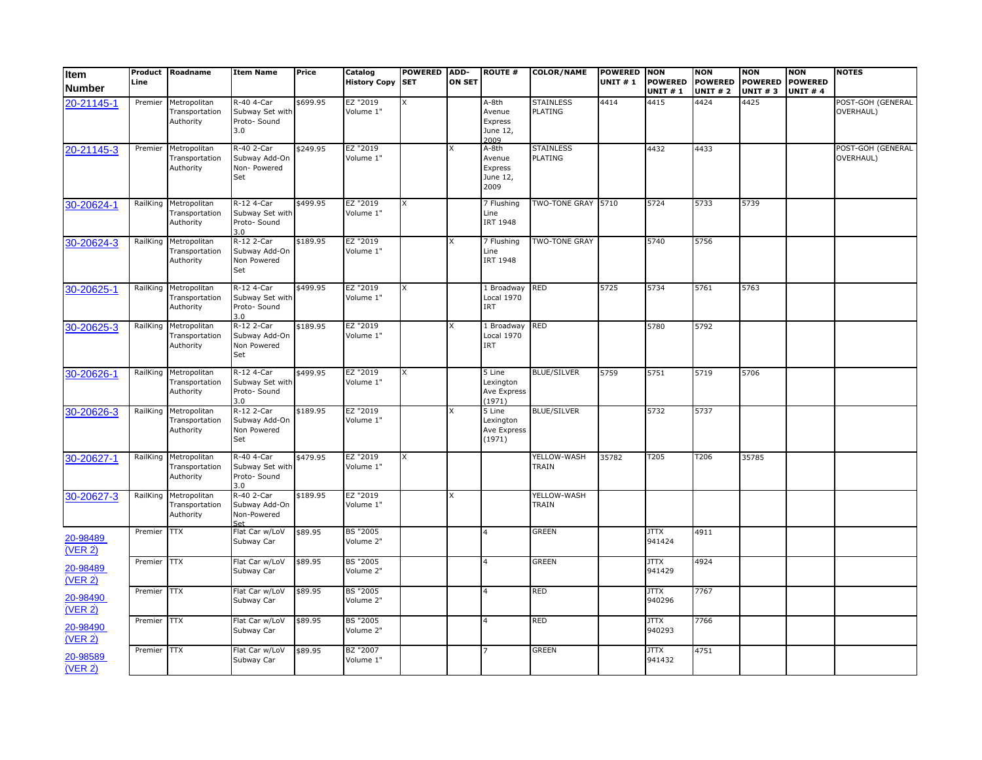| <b>Item</b><br><b>Number</b> | Line     | Product Roadname                            | <b>Item Name</b>                                     | Price    | Catalog<br><b>History Copy SET</b> | <b>POWERED</b> | ADD-<br><b>ON SET</b> | <b>ROUTE #</b>                                 | <b>COLOR/NAME</b>                  | <b>POWERED</b><br><b>UNIT #1</b> | <b>NON</b><br><b>POWERED</b><br><b>UNIT#1</b> | <b>NON</b><br><b>POWERED</b><br><b>UNIT #2</b> | <b>NON</b><br><b>POWERED</b><br><b>UNIT #3</b> | <b>NON</b><br><b>POWERED</b><br><b>UNIT #4</b> | <b>NOTES</b>                   |
|------------------------------|----------|---------------------------------------------|------------------------------------------------------|----------|------------------------------------|----------------|-----------------------|------------------------------------------------|------------------------------------|----------------------------------|-----------------------------------------------|------------------------------------------------|------------------------------------------------|------------------------------------------------|--------------------------------|
| 20-21145-1                   | Premier  | Metropolitan<br>Transportation<br>Authority | R-40 4-Car<br>Subway Set with<br>Proto- Sound<br>3.0 | \$699.95 | EZ "2019<br>Volume 1"              | X              |                       | A-8th<br>Avenue<br>Express<br>June 12,<br>2009 | <b>STAINLESS</b><br><b>PLATING</b> | 4414                             | 4415                                          | 4424                                           | 4425                                           |                                                | POST-GOH (GENERAL<br>OVERHAUL) |
| 20-21145-3                   | Premier  | Metropolitan<br>Transportation<br>Authority | R-40 2-Car<br>Subway Add-On<br>Non- Powered<br>Set   | \$249.95 | EZ "2019<br>Volume 1"              |                |                       | A-8th<br>Avenue<br>Express<br>June 12,<br>2009 | <b>STAINLESS</b><br><b>PLATING</b> |                                  | 4432                                          | 4433                                           |                                                |                                                | POST-GOH (GENERAL<br>OVERHAUL) |
| 30-20624-1                   | RailKing | Metropolitan<br>Transportation<br>Authority | R-12 4-Car<br>Subway Set with<br>Proto- Sound<br>3.0 | \$499.95 | EZ "2019<br>Volume 1"              | X              |                       | 7 Flushing<br>Line<br><b>IRT 1948</b>          | TWO-TONE GRAY 5710                 |                                  | 5724                                          | 5733                                           | 5739                                           |                                                |                                |
| 30-20624-3                   | RailKing | Metropolitan<br>Transportation<br>Authority | R-12 2-Car<br>Subway Add-On<br>Non Powered<br>Set    | \$189.95 | EZ "2019<br>Volume 1"              |                |                       | 7 Flushing<br>Line<br>IRT 1948                 | <b>TWO-TONE GRAY</b>               |                                  | 5740                                          | 5756                                           |                                                |                                                |                                |
| 30-20625-1                   | RailKing | Metropolitan<br>Transportation<br>Authority | R-12 4-Car<br>Subway Set with<br>Proto- Sound<br>3.0 | \$499.95 | EZ "2019<br>Volume 1"              | X              |                       | 1 Broadway<br>Local 1970<br>IRT                | <b>RED</b>                         | 5725                             | 5734                                          | 5761                                           | 5763                                           |                                                |                                |
| 30-20625-3                   | RailKing | Metropolitan<br>Transportation<br>Authority | R-12 2-Car<br>Subway Add-On<br>Non Powered<br>Set    | \$189.95 | EZ "2019<br>Volume 1"              |                |                       | 1 Broadway<br>Local 1970<br>IRT                | <b>RED</b>                         |                                  | 5780                                          | 5792                                           |                                                |                                                |                                |
| 30-20626-1                   | RailKing | Metropolitan<br>Transportation<br>Authority | R-12 4-Car<br>Subway Set with<br>Proto- Sound<br>3.0 | \$499.95 | EZ "2019<br>Volume 1"              | X              |                       | $5$ Line<br>Lexington<br>Ave Express<br>(1971) | <b>BLUE/SILVER</b>                 | 5759                             | 5751                                          | 5719                                           | 5706                                           |                                                |                                |
| 30-20626-3                   | RailKing | Metropolitan<br>Transportation<br>Authority | R-12 2-Car<br>Subway Add-On<br>Non Powered<br>Set    | \$189.95 | EZ "2019<br>Volume 1"              |                |                       | 5 Line<br>Lexington<br>Ave Express<br>(1971)   | <b>BLUE/SILVER</b>                 |                                  | 5732                                          | 5737                                           |                                                |                                                |                                |
| 30-20627-1                   | RailKing | Metropolitan<br>Transportation<br>Authority | R-40 4-Car<br>Subway Set with<br>Proto- Sound<br>3.0 | \$479.95 | EZ "2019<br>Volume 1"              | X              |                       |                                                | YELLOW-WASH<br>TRAIN               | 35782                            | T205                                          | T206                                           | 35785                                          |                                                |                                |
| 30-20627-3                   | RailKing | Metropolitan<br>Transportation<br>Authority | R-40 2-Car<br>Subway Add-On<br>Non-Powered<br>Set    | \$189.95 | EZ "2019<br>Volume 1"              |                | x                     |                                                | YELLOW-WASH<br>TRAIN               |                                  |                                               |                                                |                                                |                                                |                                |
| 20-98489<br>(VER 2)          | Premier  | <b>TTX</b>                                  | Flat Car w/LoV<br>Subway Car                         | \$89.95  | <b>BS "2005</b><br>Volume 2"       |                |                       |                                                | <b>GREEN</b>                       |                                  | <b>JTTX</b><br>941424                         | 4911                                           |                                                |                                                |                                |
| 20-98489<br>(VER 2)          | Premier  | <b>TTX</b>                                  | Flat Car w/LoV<br>Subway Car                         | \$89.95  | <b>BS "2005</b><br>Volume 2"       |                |                       |                                                | <b>GREEN</b>                       |                                  | <b>JTTX</b><br>941429                         | 4924                                           |                                                |                                                |                                |
| 20-98490<br>(VER 2)          | Premier  | ТTX                                         | Flat Car w/LoV<br>Subway Car                         | \$89.95  | <b>BS "2005</b><br>Volume 2"       |                |                       |                                                | <b>RED</b>                         |                                  | <b>JTTX</b><br>940296                         | 7767                                           |                                                |                                                |                                |
| 20-98490<br>(VER 2)          | Premier  | <b>TTX</b>                                  | Flat Car w/LoV<br>Subway Car                         | \$89.95  | BS "2005<br>Volume 2"              |                |                       |                                                | <b>RED</b>                         |                                  | <b>JTTX</b><br>940293                         | 7766                                           |                                                |                                                |                                |
| 20-98589<br>(VER 2)          | Premier  | КTT                                         | Flat Car w/LoV<br>Subway Car                         | \$89.95  | BZ "2007<br>Volume 1"              |                |                       |                                                | <b>GREEN</b>                       |                                  | <b>JTTX</b><br>941432                         | 4751                                           |                                                |                                                |                                |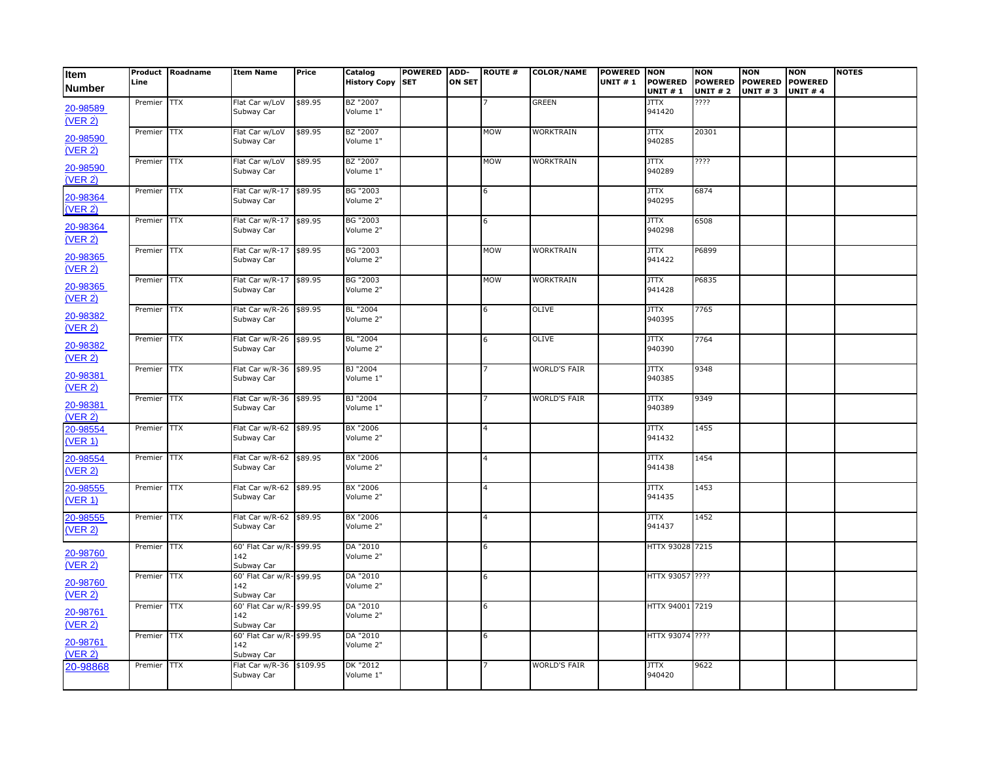| Item                | Product<br>Line | Roadname   | <b>Item Name</b>                               | Price   | Catalog<br><b>History Copy SET</b> | POWERED ADD- | <b>ON SET</b> | <b>ROUTE #</b> | <b>COLOR/NAME</b>   | POWERED NON<br><b>UNIT #1</b> | <b>POWERED</b>        | <b>NON</b><br><b>POWERED</b> | <b>NON</b><br><b>POWERED</b> | <b>NON</b><br><b>POWERED</b> | <b>NOTES</b> |
|---------------------|-----------------|------------|------------------------------------------------|---------|------------------------------------|--------------|---------------|----------------|---------------------|-------------------------------|-----------------------|------------------------------|------------------------------|------------------------------|--------------|
| <b>Number</b>       |                 |            |                                                |         |                                    |              |               |                |                     |                               | <b>UNIT #1</b>        | <b>UNIT #2</b>               | <b>UNIT #3</b>               | <b>UNIT #4</b>               |              |
| 20-98589<br>(VER 2) | Premier         | <b>TTX</b> | Flat Car w/LoV<br>Subway Car                   | \$89.95 | BZ "2007<br>Volume 1"              |              |               |                | <b>GREEN</b>        |                               | <b>XTTL</b><br>941420 | ????                         |                              |                              |              |
| 20-98590<br>(VER 2) | Premier         | <b>TTX</b> | Flat Car w/LoV<br>Subway Car                   | \$89.95 | BZ "2007<br>Volume 1"              |              |               | <b>MOM</b>     | <b>WORKTRAIN</b>    |                               | <b>JTTX</b><br>940285 | 20301                        |                              |                              |              |
| 20-98590<br>(VER 2) | Premier         | Į          | Flat Car w/LoV<br>Subway Car                   | \$89.95 | BZ "2007<br>Volume 1"              |              |               | <b>MOW</b>     | <b>WORKTRAIN</b>    |                               | <b>JTTX</b><br>940289 | ????                         |                              |                              |              |
| 20-98364<br>(VER 2) | Premier         | TTX        | Flat Car w/R-17<br>Subway Car                  | \$89.95 | BG "2003<br>Volume 2"              |              |               | 6              |                     |                               | JTTX<br>940295        | 6874                         |                              |                              |              |
| 20-98364<br>(VER 2) | Premier         | <b>TTX</b> | Flat Car w/R-17<br>Subway Car                  | \$89.95 | BG "2003<br>Volume 2"              |              |               | 6              |                     |                               | <b>JTTX</b><br>940298 | 6508                         |                              |                              |              |
| 20-98365<br>(VER 2) | Premier         | <b>TTX</b> | Flat Car w/R-17<br>Subway Car                  | \$89.95 | BG "2003<br>Volume 2"              |              |               | <b>MOW</b>     | WORKTRAIN           |                               | <b>JTTX</b><br>941422 | P6899                        |                              |                              |              |
| 20-98365<br>(VER 2) | Premier         | <b>TTX</b> | Flat Car w/R-17<br>Subway Car                  | \$89.95 | BG "2003<br>Volume 2"              |              |               | <b>MOW</b>     | WORKTRAIN           |                               | <b>JTTX</b><br>941428 | P6835                        |                              |                              |              |
| 20-98382<br>(VER 2) | Premier         | <b>TTX</b> | Flat Car w/R-26<br>Subway Car                  | \$89.95 | BL "2004<br>Volume 2"              |              |               | 6              | <b>OLIVE</b>        |                               | <b>JTTX</b><br>940395 | 7765                         |                              |                              |              |
| 20-98382<br>(VER 2) | Premier         | <b>TTX</b> | Flat Car w/R-26<br>Subway Car                  | \$89.95 | BL "2004<br>Volume 2"              |              |               | 6              | <b>OLIVE</b>        |                               | <b>JTTX</b><br>940390 | 7764                         |                              |                              |              |
| 20-98381<br>(VER 2) | Premier         | <b>TTX</b> | Flat Car w/R-36<br>Subway Car                  | \$89.95 | BJ "2004<br>Volume 1"              |              |               |                | <b>WORLD'S FAIR</b> |                               | <b>JTTX</b><br>940385 | 9348                         |                              |                              |              |
| 20-98381<br>(VER 2) | Premier         | Ì          | Flat Car w/R-36<br>Subway Car                  | \$89.95 | BJ "2004<br>Volume 1"              |              |               |                | <b>WORLD'S FAIR</b> |                               | <b>JTTX</b><br>940389 | 9349                         |                              |                              |              |
| 20-98554<br>(VER 1) | Premier         | TTX        | Flat Car w/R-62<br>Subway Car                  | \$89.95 | BX "2006<br>Volume 2"              |              |               | 4              |                     |                               | <b>JTTX</b><br>941432 | 1455                         |                              |                              |              |
| 20-98554<br>(VER 2) | Premier         | <b>TTX</b> | Flat Car w/R-62<br>Subway Car                  | \$89.95 | BX "2006<br>Volume 2"              |              |               | $\overline{4}$ |                     |                               | <b>XTTL</b><br>941438 | 1454                         |                              |                              |              |
| 20-98555<br>(VER 1) | Premier         | <b>TTX</b> | Flat Car w/R-62<br>Subway Car                  | \$89.95 | BX "2006<br>Volume 2"              |              |               | $\overline{4}$ |                     |                               | <b>JTTX</b><br>941435 | 1453                         |                              |                              |              |
| 20-98555<br>(VER 2) | Premier         | <b>TTX</b> | Flat Car w/R-62<br>Subway Car                  | \$89.95 | BX "2006<br>Volume 2"              |              |               | $\overline{4}$ |                     |                               | <b>JTTX</b><br>941437 | 1452                         |                              |                              |              |
| 20-98760<br>(VER 2) | Premier         | <b>TTX</b> | 60' Flat Car w/R- \$99.95<br>142<br>Subway Car |         | DA "2010<br>Volume 2"              |              |               | 6              |                     |                               | HTTX 93028 7215       |                              |                              |                              |              |
| 20-98760<br>(VER 2) | Premier         | КTT        | 60' Flat Car w/R- \$99.95<br>142<br>Subway Car |         | DA "2010<br>Volume 2"              |              |               | 6              |                     |                               | HTTX 93057 ????       |                              |                              |                              |              |
| 20-98761<br>(VER 2) | Premier         | <b>TTX</b> | 60' Flat Car w/R- \$99.95<br>142<br>Subway Car |         | DA "2010<br>Volume 2"              |              |               | 6              |                     |                               | HTTX 94001 7219       |                              |                              |                              |              |
| 20-98761<br>(VER 2) | Premier         | Į          | 60' Flat Car w/R- \$99.95<br>142<br>Subway Car |         | DA "2010<br>Volume 2"              |              |               | 6              |                     |                               | HTTX 93074 ????       |                              |                              |                              |              |
| 20-98868            | Premier         | КTT        | Flat Car w/R-36 \$109.95<br>Subway Car         |         | DK "2012<br>Volume 1"              |              |               |                | <b>WORLD'S FAIR</b> |                               | <b>JTTX</b><br>940420 | 9622                         |                              |                              |              |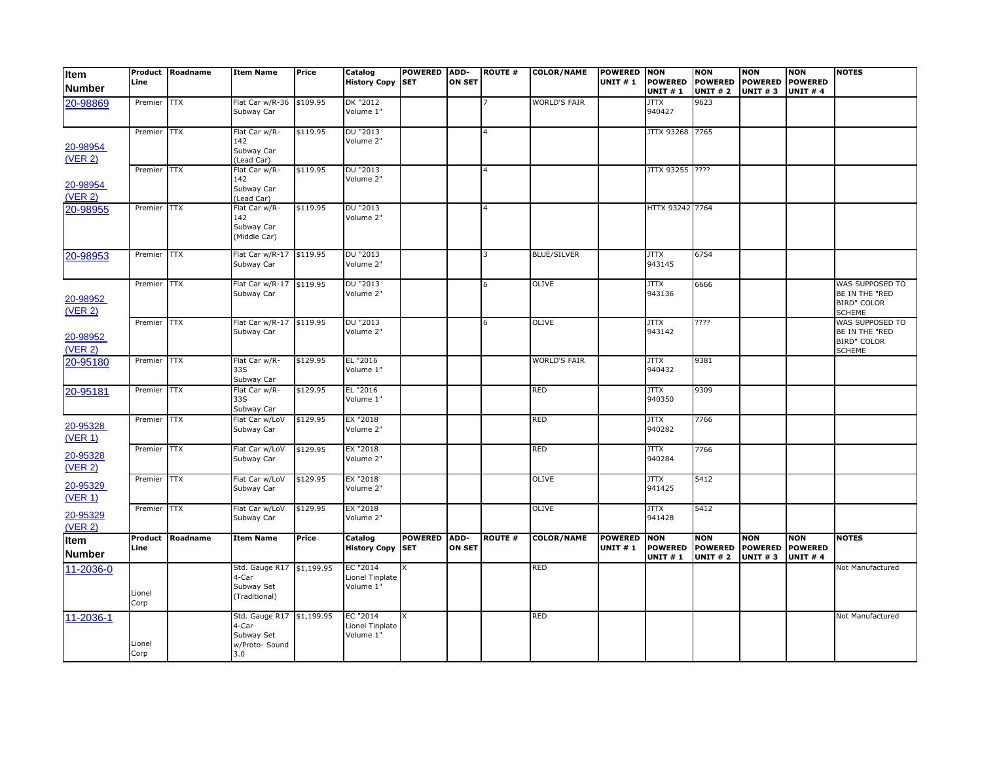| Item                  | Line            | Product Roadname | <b>Item Name</b>                                                          | Price    | Catalog<br><b>History Copy</b>           | <b>POWERED</b><br><b>SET</b> | ADD-<br><b>ON SET</b> | <b>ROUTE#</b>  | <b>COLOR/NAME</b>   | <b>POWERED</b><br><b>UNIT #1</b> | <b>NON</b><br><b>POWERED</b>     | NON<br><b>POWERED</b>                   | <b>NON</b><br><b>POWERED</b> | <b>NON</b><br><b>POWERED</b>                    | <b>NOTES</b>                                                             |
|-----------------------|-----------------|------------------|---------------------------------------------------------------------------|----------|------------------------------------------|------------------------------|-----------------------|----------------|---------------------|----------------------------------|----------------------------------|-----------------------------------------|------------------------------|-------------------------------------------------|--------------------------------------------------------------------------|
| <b>Number</b>         |                 |                  |                                                                           |          |                                          |                              |                       |                |                     |                                  | <b>UNIT #1</b>                   | <b>UNIT # 2</b>                         | <b>UNIT #3</b>               | <b>UNIT #4</b>                                  |                                                                          |
| 20-98869              | Premier         | $\overline{TX}$  | Flat Car w/R-36<br>Subway Car                                             | \$109.95 | DK "2012<br>Volume 1"                    |                              |                       |                | <b>WORLD'S FAIR</b> |                                  | <b>JTTX</b><br>940427            | 9623                                    |                              |                                                 |                                                                          |
| 20-98954              | Premier TTX     |                  | Flat Car w/R-<br>142<br>Subway Car                                        | \$119.95 | DU "2013<br>Volume 2"                    |                              |                       | 4              |                     |                                  | JTTX 93268                       | 7765                                    |                              |                                                 |                                                                          |
| (VER 2)               |                 |                  | (Lead Car)                                                                |          |                                          |                              |                       |                |                     |                                  |                                  |                                         |                              |                                                 |                                                                          |
| 20-98954<br>(VER 2)   | Premier TTX     |                  | Flat Car w/R-<br>142<br>Subway Car<br>(Lead Car)                          | \$119.95 | DU "2013<br>Volume 2"                    |                              |                       | 4              |                     |                                  | JTTX 93255 ????                  |                                         |                              |                                                 |                                                                          |
| 20-98955              | Premier         | ТTX              | Flat Car w/R-<br>142<br>Subway Car<br>(Middle Car)                        | \$119.95 | DU "2013<br>Volume 2"                    |                              |                       | 4              |                     |                                  | HTTX 93242 7764                  |                                         |                              |                                                 |                                                                          |
| 20-98953              | Premier         | <b>TTX</b>       | Flat Car w/R-17<br>Subway Car                                             | \$119.95 | DU "2013<br>Volume 2"                    |                              |                       | 3              | <b>BLUE/SILVER</b>  |                                  | <b>JTTX</b><br>943145            | 6754                                    |                              |                                                 |                                                                          |
| 20-98952<br>(VER 2)   | Premier TTX     |                  | Flat Car w/R-17<br>Subway Car                                             | \$119.95 | DU "2013<br>Volume 2"                    |                              |                       | 6              | <b>OLIVE</b>        |                                  | <b>JTTX</b><br>943136            | 6666                                    |                              |                                                 | WAS SUPPOSED TO<br>BE IN THE "RED<br><b>BIRD" COLOR</b><br><b>SCHEME</b> |
| 20-98952<br>(VER 2)   | Premier TTX     |                  | Flat Car w/R-17 \$119.95<br>Subway Car                                    |          | DU "2013<br>Volume 2"                    |                              |                       | 6              | <b>OLIVE</b>        |                                  | <b>JTTX</b><br>943142            | ????                                    |                              |                                                 | WAS SUPPOSED TO<br>BE IN THE "RED<br><b>BIRD" COLOR</b><br><b>SCHEME</b> |
| 20-95180              | Premier TTX     |                  | Flat Car w/R-<br>33S<br>Subway Car                                        | \$129.95 | EL "2016<br>Volume 1"                    |                              |                       |                | <b>WORLD'S FAIR</b> |                                  | <b>JTTX</b><br>940432            | 9381                                    |                              |                                                 |                                                                          |
| 20-95181              | Premier         | ТTX              | Flat Car w/R-<br>33S<br>Subway Car                                        | \$129.95 | EL "2016<br>Volume 1"                    |                              |                       |                | <b>RED</b>          |                                  | <b>JTTX</b><br>940350            | 9309                                    |                              |                                                 |                                                                          |
| 20-95328<br>(VER 1)   | Premier         | $\overline{TX}$  | Flat Car w/LoV<br>Subway Car                                              | \$129.95 | EX "2018<br>Volume 2"                    |                              |                       |                | RED                 |                                  | <b>JTTX</b><br>940282            | 7766                                    |                              |                                                 |                                                                          |
| 20-95328<br>(VER 2)   | Premier         | КTT              | Flat Car w/LoV<br>Subway Car                                              | \$129.95 | EX "2018<br>Volume 2"                    |                              |                       |                | <b>RED</b>          |                                  | <b>JTTX</b><br>940284            | 7766                                    |                              |                                                 |                                                                          |
| 20-95329<br>(VER 1)   | Premier         | ТTX              | Flat Car w/LoV<br>Subway Car                                              | \$129.95 | EX "2018<br>Volume 2"                    |                              |                       |                | <b>OLIVE</b>        |                                  | JTTX<br>941425                   | 5412                                    |                              |                                                 |                                                                          |
| 20-95329<br>(VER 2)   | Premier         | $\overline{TX}$  | Flat Car w/LoV<br>Subway Car                                              | \$129.95 | EX "2018<br>Volume 2"                    |                              |                       |                | <b>OLIVE</b>        |                                  | <b>JTTX</b><br>941428            | $\frac{1}{5412}$                        |                              |                                                 |                                                                          |
| Item<br><b>Number</b> | Product<br>Line | Roadname         | <b>Item Name</b>                                                          | Price    | Catalog<br><b>History Copy</b>           | <b>POWERED</b><br><b>SET</b> | ADD-<br><b>ON SET</b> | <b>ROUTE #</b> | <b>COLOR/NAME</b>   | POWERED NON<br><b>UNIT #1</b>    | <b>POWERED</b><br><b>UNIT #1</b> | NON<br><b>POWERED</b><br><b>UNIT #2</b> | <b>NON</b><br><b>UNIT #3</b> | <b>NON</b><br>POWERED POWERED<br><b>UNIT #4</b> | <b>NOTES</b>                                                             |
| 11-2036-0             | Lionel<br>Corp  |                  | Std. Gauge R17 \$1,199.95<br>4-Car<br>Subway Set<br>(Traditional)         |          | EC "2014<br>Lionel Tinplate<br>Volume 1" |                              |                       |                | <b>RED</b>          |                                  |                                  |                                         |                              |                                                 | Not Manufactured                                                         |
| 11-2036-1             | Lionel<br>Corp  |                  | Std. Gauge R17 \$1,199.95<br>4-Car<br>Subway Set<br>w/Proto- Sound<br>3.0 |          | EC "2014<br>Lionel Tinplate<br>Volume 1" | X                            |                       |                | RED                 |                                  |                                  |                                         |                              |                                                 | Not Manufactured                                                         |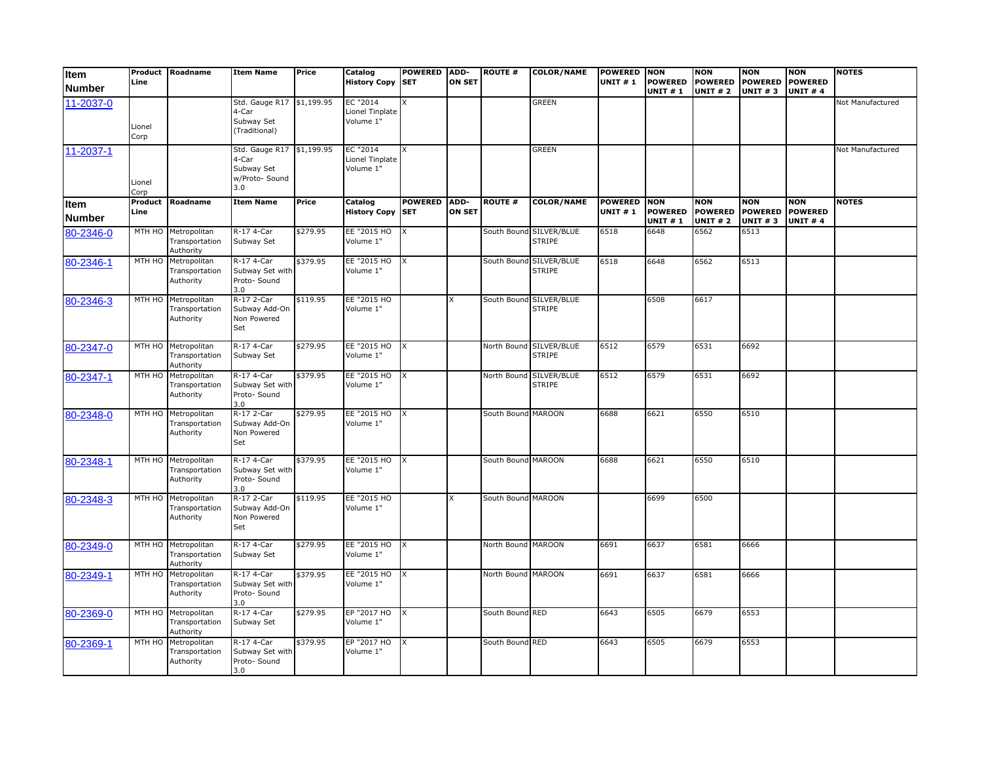| <b>Item</b><br><b>Number</b> | Line            | Product Roadname                                   | <b>Item Name</b>                                                          | Price    | Catalog<br><b>History Copy SET</b>       | <b>POWERED</b>         | ADD-<br><b>ON SET</b> | <b>ROUTE #</b>     | <b>COLOR/NAME</b>                        | <b>POWERED</b><br><b>UNIT #1</b> | <b>NON</b><br><b>POWERED</b><br><b>UNIT #1</b> | <b>NON</b><br><b>POWERED</b><br><b>UNIT #2</b> | <b>NON</b><br><b>POWERED</b><br><b>UNIT #3</b> | <b>NON</b><br><b>POWERED</b><br><b>UNIT #4</b> | <b>NOTES</b>     |
|------------------------------|-----------------|----------------------------------------------------|---------------------------------------------------------------------------|----------|------------------------------------------|------------------------|-----------------------|--------------------|------------------------------------------|----------------------------------|------------------------------------------------|------------------------------------------------|------------------------------------------------|------------------------------------------------|------------------|
| 11-2037-0                    | Lionel<br>Corp  |                                                    | Std. Gauge R17 \$1,199.95<br>4-Car<br>Subway Set<br>(Traditional)         |          | EC "2014<br>Lionel Tinplate<br>Volume 1" | X                      |                       |                    | <b>GREEN</b>                             |                                  |                                                |                                                |                                                |                                                | Not Manufactured |
| 11-2037-1                    | Lionel<br>Corp  |                                                    | Std. Gauge R17 \$1,199.95<br>4-Car<br>Subway Set<br>w/Proto- Sound<br>3.0 |          | EC "2014<br>Lionel Tinplate<br>Volume 1" | X                      |                       |                    | <b>GREEN</b>                             |                                  |                                                |                                                |                                                |                                                | Not Manufactured |
| ltem<br><b>Number</b>        | Product<br>Line | Roadname                                           | <b>Item Name</b>                                                          | Price    | Catalog<br><b>History Copy SET</b>       | <b>POWERED</b>         | ADD-<br><b>ON SET</b> | <b>ROUTE #</b>     | <b>COLOR/NAME</b>                        | <b>POWERED</b><br><b>UNIT #1</b> | <b>NON</b><br><b>POWERED</b><br><b>UNIT #1</b> | <b>NON</b><br><b>POWERED</b><br><b>UNIT #2</b> | <b>NON</b><br><b>POWERED</b><br><b>UNIT #3</b> | <b>NON</b><br><b>POWERED</b><br><b>UNIT #4</b> | <b>NOTES</b>     |
| 80-2346-0                    | MTH HO          | Metropolitan<br>Transportation<br>Authority        | R-17 4-Car<br>Subway Set                                                  | \$279.95 | EE "2015 HO<br>Volume 1"                 | X                      |                       |                    | South Bound SILVER/BLUE<br><b>STRIPE</b> | 6518                             | 6648                                           | 6562                                           | 6513                                           |                                                |                  |
| 80-2346-1                    | MTH HO          | Metropolitan<br>Transportation<br>Authority        | R-17 4-Car<br>Subway Set with<br>Proto- Sound<br>3.0                      | \$379.95 | EE "2015 HO<br>Volume 1"                 | $\mathsf{I}\mathsf{X}$ |                       |                    | South Bound SILVER/BLUE<br>STRIPE        | 6518                             | 6648                                           | 6562                                           | 6513                                           |                                                |                  |
| 80-2346-3                    | MTH HO          | Metropolitan<br>Transportation<br>Authority        | R-17 2-Car<br>Subway Add-On<br>Non Powered<br>Set                         | \$119.95 | EE "2015 HO<br>Volume 1"                 |                        | x                     |                    | South Bound SILVER/BLUE<br><b>STRIPE</b> |                                  | 6508                                           | 6617                                           |                                                |                                                |                  |
| 80-2347-0                    | MTH HO          | Metropolitan<br>Transportation<br>Authority        | R-17 4-Car<br>Subway Set                                                  | \$279.95 | EE "2015 HO<br>Volume 1"                 | $\mathsf{I}$           |                       |                    | North Bound SILVER/BLUE<br><b>STRIPE</b> | 6512                             | 6579                                           | 6531                                           | 6692                                           |                                                |                  |
| 80-2347-1                    | MTH HO          | Metropolitan<br>Transportation<br>Authority        | R-17 4-Car<br>Subway Set with<br>Proto- Sound<br>3.0                      | \$379.95 | EE "2015 HO<br>Volume 1"                 | $\mathsf{I}$           |                       |                    | North Bound SILVER/BLUE<br>STRIPE        | 6512                             | 6579                                           | 6531                                           | 6692                                           |                                                |                  |
| 80-2348-0                    | MTH HO          | Metropolitan<br>Transportation<br>Authority        | R-17 2-Car<br>Subway Add-On<br>Non Powered<br>Set                         | \$279.95 | EE "2015 HO<br>Volume 1"                 | Ιx                     |                       | South Bound MAROON |                                          | 6688                             | 6621                                           | 6550                                           | 6510                                           |                                                |                  |
| 80-2348-1                    | MTH HO          | Metropolitan<br>Transportation<br>Authority        | R-17 4-Car<br>Subway Set with<br>Proto- Sound<br>3.0                      | \$379.95 | EE "2015 HO X<br>Volume 1"               |                        |                       | South Bound MAROON |                                          | 6688                             | 6621                                           | 6550                                           | 6510                                           |                                                |                  |
| 80-2348-3                    | MTH HO          | Metropolitan<br>Transportation<br>Authority        | R-17 2-Car<br>Subway Add-On<br>Non Powered<br>Set                         | \$119.95 | EE "2015 HO<br>Volume 1"                 |                        | X                     | South Bound MAROON |                                          |                                  | 6699                                           | 6500                                           |                                                |                                                |                  |
| 80-2349-0                    | MTH HO          | Metropolitan<br>Transportation<br>Authority        | R-17 4-Car<br>Subway Set                                                  | \$279.95 | EE "2015 HO<br>Volume 1"                 | Ix                     |                       | North Bound MAROON |                                          | 6691                             | 6637                                           | 6581                                           | 6666                                           |                                                |                  |
| 80-2349-1                    | MTH HO          | Metropolitan<br>Transportation<br>Authority        | R-17 4-Car<br>Subway Set with<br>Proto- Sound<br>3.0                      | \$379.95 | EE "2015 HO<br>Volume 1"                 | $\mathsf{I}$           |                       | North Bound MAROON |                                          | 6691                             | 6637                                           | 6581                                           | 6666                                           |                                                |                  |
| 80-2369-0                    |                 | MTH HO Metropolitan<br>Transportation<br>Authority | R-17 4-Car<br>Subway Set                                                  | \$279.95 | EP "2017 HO<br>Volume 1"                 | X                      |                       | South Bound RED    |                                          | 6643                             | 6505                                           | 6679                                           | 6553                                           |                                                |                  |
| 80-2369-1                    | MTH HO          | Metropolitan<br>Transportation<br>Authority        | R-17 4-Car<br>Subway Set with<br>Proto- Sound<br>3.0                      | \$379.95 | EP "2017 HO<br>Volume 1"                 | X                      |                       | South Bound RED    |                                          | 6643                             | 6505                                           | 6679                                           | 6553                                           |                                                |                  |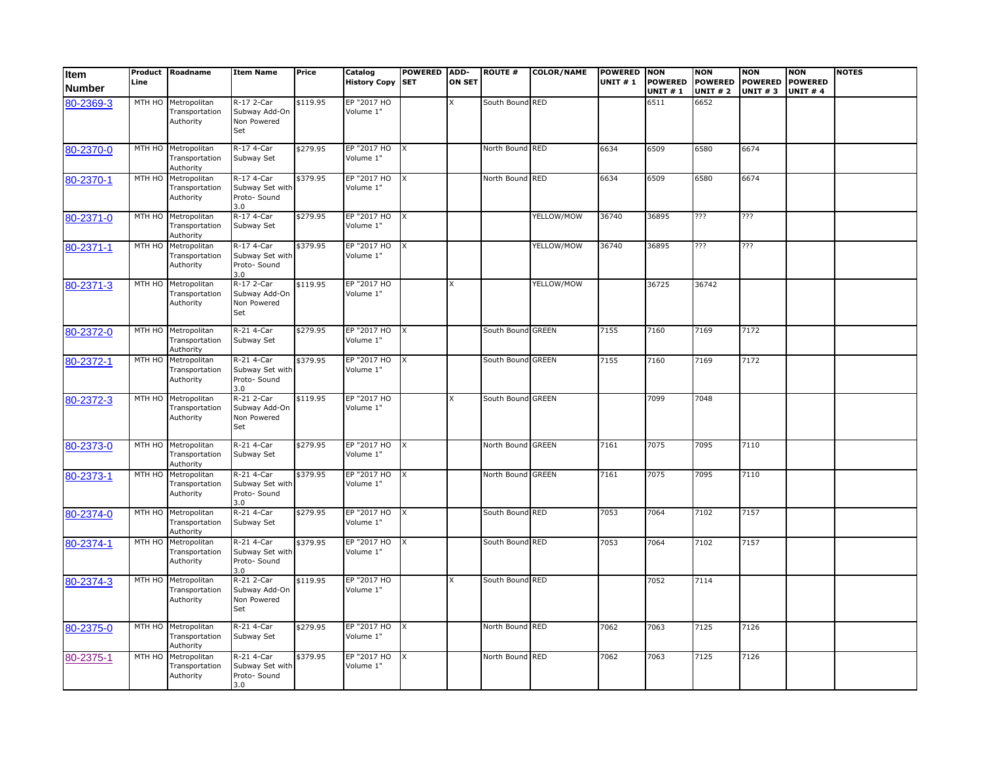| Item<br><b>Number</b> | Line   | Product Roadname                                   | <b>Item Name</b>                                     | Price    | Catalog<br><b>History Copy SET</b> | POWERED ADD-            | <b>ON SET</b> | <b>ROUTE #</b>    | <b>COLOR/NAME</b> | <b>POWERED NON</b><br><b>UNIT #1</b> | <b>POWERED</b><br><b>UNIT#1</b> | <b>NON</b><br><b>POWERED</b><br><b>UNIT # 2</b> | <b>NON</b><br><b>POWERED</b><br><b>UNIT #3</b> | <b>NON</b><br><b>POWERED</b><br><b>UNIT #4</b> | <b>NOTES</b> |
|-----------------------|--------|----------------------------------------------------|------------------------------------------------------|----------|------------------------------------|-------------------------|---------------|-------------------|-------------------|--------------------------------------|---------------------------------|-------------------------------------------------|------------------------------------------------|------------------------------------------------|--------------|
| 80-2369-3             |        | MTH HO Metropolitan<br>Transportation<br>Authority | R-17 2-Car<br>Subway Add-On<br>Non Powered<br>Set    | \$119.95 | EP "2017 HO<br>Volume 1"           |                         | x             | South Bound RED   |                   |                                      | 6511                            | 6652                                            |                                                |                                                |              |
| 80-2370-0             |        | MTH HO Metropolitan<br>Transportation<br>Authority | R-17 4-Car<br>Subway Set                             | \$279.95 | EP "2017 HO<br>Volume 1"           | $\mathsf{I}\mathsf{x}$  |               | North Bound RED   |                   | 6634                                 | 6509                            | 6580                                            | 6674                                           |                                                |              |
| 80-2370-1             |        | MTH HO Metropolitan<br>Transportation<br>Authority | R-17 4-Car<br>Subway Set with<br>Proto-Sound<br>3.0  | \$379.95 | EP "2017 HO<br>Volume 1"           | $\mathsf{I}$            |               | North Bound RED   |                   | 6634                                 | 6509                            | 6580                                            | 6674                                           |                                                |              |
| 80-2371-0             |        | MTH HO Metropolitan<br>Transportation<br>Authority | R-17 4-Car<br>Subway Set                             | \$279.95 | EP "2017 HO X<br>Volume 1"         |                         |               |                   | YELLOW/MOW        | 36740                                | 36895                           | ???                                             | ???                                            |                                                |              |
| 80-2371-1             |        | MTH HO Metropolitan<br>Transportation<br>Authority | R-17 4-Car<br>Subway Set with<br>Proto- Sound<br>3.0 | \$379.95 | EP "2017 HO X<br>Volume 1"         |                         |               |                   | YELLOW/MOW        | 36740                                | 36895                           | ???                                             | ???                                            |                                                |              |
| 80-2371-3             |        | MTH HO Metropolitan<br>Transportation<br>Authority | R-17 2-Car<br>Subway Add-On<br>Non Powered<br>Set    | \$119.95 | EP "2017 HO<br>Volume 1"           |                         | X             |                   | YELLOW/MOW        |                                      | 36725                           | 36742                                           |                                                |                                                |              |
| 80-2372-0             |        | MTH HO Metropolitan<br>Transportation<br>Authority | R-21 4-Car<br>Subway Set                             | \$279.95 | EP "2017 HO<br>Volume 1"           | $\mathsf{X}$            |               | South Bound GREEN |                   | 7155                                 | 7160                            | 7169                                            | 7172                                           |                                                |              |
| 80-2372-1             | MTH HO | Metropolitan<br>Transportation<br>Authority        | R-21 4-Car<br>Subway Set with<br>Proto- Sound<br>3.0 | \$379.95 | EP "2017 HO<br>Volume 1"           | $\mathsf{I}\mathsf{X}$  |               | South Bound GREEN |                   | 7155                                 | 7160                            | 7169                                            | 7172                                           |                                                |              |
| 80-2372-3             |        | MTH HO Metropolitan<br>Transportation<br>Authority | R-21 2-Car<br>Subway Add-On<br>Non Powered<br>Set    | \$119.95 | EP "2017 HO<br>Volume 1"           |                         | X             | South Bound GREEN |                   |                                      | 7099                            | 7048                                            |                                                |                                                |              |
| 80-2373-0             |        | MTH HO Metropolitan<br>Transportation<br>Authority | R-21 4-Car<br>Subway Set                             | \$279.95 | EP "2017 HO<br>Volume 1"           | $\mathsf{I}$            |               | North Bound GREEN |                   | 7161                                 | 7075                            | 7095                                            | 7110                                           |                                                |              |
| 80-2373-1             | MTH HO | Metropolitan<br>Transportation<br>Authority        | R-21 4-Car<br>Subway Set with<br>Proto- Sound<br>3.0 | \$379.95 | EP "2017 HO<br>Volume 1"           | $\overline{\mathbf{x}}$ |               | North Bound GREEN |                   | 7161                                 | 7075                            | 7095                                            | 7110                                           |                                                |              |
| 80-2374-0             |        | MTH HO Metropolitan<br>Transportation<br>Authority | R-21 4-Car<br>Subway Set                             | \$279.95 | EP "2017 HO X<br>Volume 1"         |                         |               | South Bound RED   |                   | 7053                                 | 7064                            | 7102                                            | 7157                                           |                                                |              |
| 80-2374-1             |        | MTH HO Metropolitan<br>Transportation<br>Authority | R-21 4-Car<br>Subway Set with<br>Proto- Sound<br>3.0 | \$379.95 | EP "2017 HO<br>Volume 1"           | $\mathsf{X}$            |               | South Bound RED   |                   | 7053                                 | 7064                            | 7102                                            | 7157                                           |                                                |              |
| 80-2374-3             | MTH HO | Metropolitan<br>Transportation<br>Authority        | R-21 2-Car<br>Subway Add-On<br>Non Powered<br>Set    | \$119.95 | EP "2017 HO<br>Volume 1"           |                         | X             | South Bound RED   |                   |                                      | 7052                            | 7114                                            |                                                |                                                |              |
| 80-2375-0             |        | MTH HO Metropolitan<br>Transportation<br>Authority | R-21 4-Car<br>Subway Set                             | \$279.95 | EP "2017 HO<br>Volume 1"           | <b>IX</b>               |               | North Bound RED   |                   | 7062                                 | 7063                            | 7125                                            | 7126                                           |                                                |              |
| 80-2375-1             | MTH HO | Metropolitan<br>Transportation<br>Authority        | R-21 4-Car<br>Subway Set with<br>Proto- Sound<br>3.0 | \$379.95 | EP "2017 HO<br>Volume 1"           | <b>X</b>                |               | North Bound RED   |                   | 7062                                 | 7063                            | 7125                                            | 7126                                           |                                                |              |